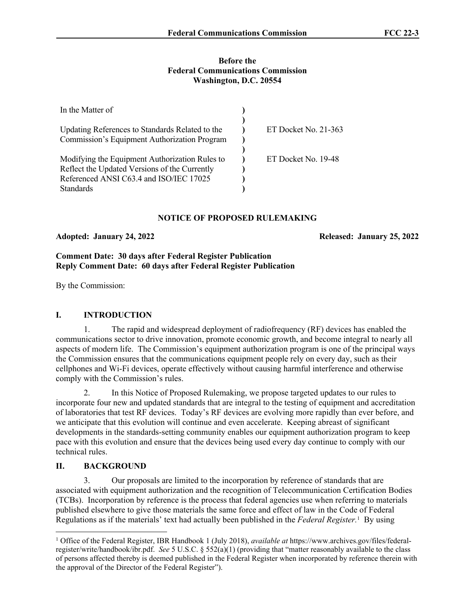#### **Before the Federal Communications Commission Washington, D.C. 20554**

| In the Matter of                                                                                                                                               |                      |
|----------------------------------------------------------------------------------------------------------------------------------------------------------------|----------------------|
| Updating References to Standards Related to the<br>Commission's Equipment Authorization Program                                                                | ET Docket No. 21-363 |
| Modifying the Equipment Authorization Rules to<br>Reflect the Updated Versions of the Currently<br>Referenced ANSI C63.4 and ISO/IEC 17025<br><b>Standards</b> | ET Docket No. 19-48  |

# **NOTICE OF PROPOSED RULEMAKING**

## **Adopted: January 24, 2022 Released: January 25, 2022**

# **Comment Date: 30 days after Federal Register Publication Reply Comment Date: 60 days after Federal Register Publication**

By the Commission:

# **I. INTRODUCTION**

1. The rapid and widespread deployment of radiofrequency (RF) devices has enabled the communications sector to drive innovation, promote economic growth, and become integral to nearly all aspects of modern life. The Commission's equipment authorization program is one of the principal ways the Commission ensures that the communications equipment people rely on every day, such as their cellphones and Wi-Fi devices, operate effectively without causing harmful interference and otherwise comply with the Commission's rules.

2. In this Notice of Proposed Rulemaking, we propose targeted updates to our rules to incorporate four new and updated standards that are integral to the testing of equipment and accreditation of laboratories that test RF devices. Today's RF devices are evolving more rapidly than ever before, and we anticipate that this evolution will continue and even accelerate. Keeping abreast of significant developments in the standards-setting community enables our equipment authorization program to keep pace with this evolution and ensure that the devices being used every day continue to comply with our technical rules.

## **II. BACKGROUND**

3. Our proposals are limited to the incorporation by reference of standards that are associated with equipment authorization and the recognition of Telecommunication Certification Bodies (TCBs). Incorporation by reference is the process that federal agencies use when referring to materials published elsewhere to give those materials the same force and effect of law in the Code of Federal Regulations as if the materials' text had actually been published in the *Federal Register.*<sup>1</sup> By using

<sup>1</sup> Office of the Federal Register, IBR Handbook 1 (July 2018), *available at* https://www.archives.gov/files/federalregister/write/handbook/ibr.pdf. *See* 5 U.S.C. § 552(a)(1) (providing that "matter reasonably available to the class of persons affected thereby is deemed published in the Federal Register when incorporated by reference therein with the approval of the Director of the Federal Register").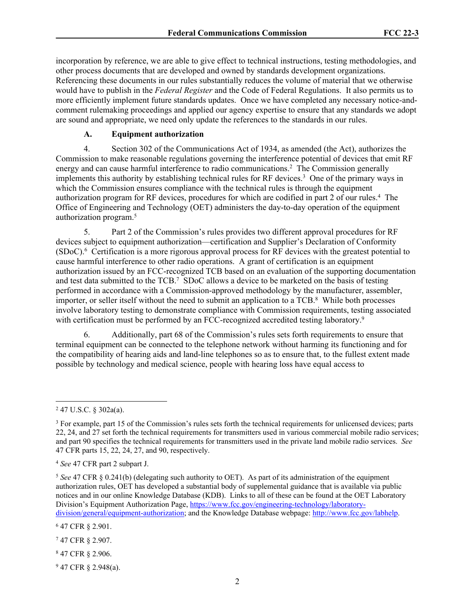incorporation by reference, we are able to give effect to technical instructions, testing methodologies, and other process documents that are developed and owned by standards development organizations. Referencing these documents in our rules substantially reduces the volume of material that we otherwise would have to publish in the *Federal Register* and the Code of Federal Regulations. It also permits us to more efficiently implement future standards updates. Once we have completed any necessary notice-andcomment rulemaking proceedings and applied our agency expertise to ensure that any standards we adopt are sound and appropriate, we need only update the references to the standards in our rules.

# **A. Equipment authorization**

4. Section 302 of the Communications Act of 1934, as amended (the Act), authorizes the Commission to make reasonable regulations governing the interference potential of devices that emit RF energy and can cause harmful interference to radio communications.<sup>2</sup> The Commission generally implements this authority by establishing technical rules for RF devices.<sup>3</sup> One of the primary ways in which the Commission ensures compliance with the technical rules is through the equipment authorization program for RF devices, procedures for which are codified in part 2 of our rules.<sup>4</sup> The Office of Engineering and Technology (OET) administers the day-to-day operation of the equipment authorization program.<sup>5</sup>

5. Part 2 of the Commission's rules provides two different approval procedures for RF devices subject to equipment authorization—certification and Supplier's Declaration of Conformity (SDoC).<sup>6</sup> Certification is a more rigorous approval process for RF devices with the greatest potential to cause harmful interference to other radio operations. A grant of certification is an equipment authorization issued by an FCC-recognized TCB based on an evaluation of the supporting documentation and test data submitted to the TCB.<sup>7</sup> SDoC allows a device to be marketed on the basis of testing performed in accordance with a Commission-approved methodology by the manufacturer, assembler, importer, or seller itself without the need to submit an application to a TCB.<sup>8</sup> While both processes involve laboratory testing to demonstrate compliance with Commission requirements, testing associated with certification must be performed by an FCC-recognized accredited testing laboratory.<sup>9</sup>

6. Additionally, part 68 of the Commission's rules sets forth requirements to ensure that terminal equipment can be connected to the telephone network without harming its functioning and for the compatibility of hearing aids and land-line telephones so as to ensure that, to the fullest extent made possible by technology and medical science, people with hearing loss have equal access to

6 47 CFR § 2.901.

- 7 47 CFR § 2.907.
- 8 47 CFR § 2.906.
- $947$  CFR § 2.948(a).

<sup>2</sup> 47 U.S.C. § 302a(a).

<sup>&</sup>lt;sup>3</sup> For example, part 15 of the Commission's rules sets forth the technical requirements for unlicensed devices; parts 22, 24, and 27 set forth the technical requirements for transmitters used in various commercial mobile radio services; and part 90 specifies the technical requirements for transmitters used in the private land mobile radio services. *See* 47 CFR parts 15, 22, 24, 27, and 90, respectively.

<sup>4</sup> *See* 47 CFR part 2 subpart J.

<sup>5</sup> *See* 47 CFR § 0.241(b) (delegating such authority to OET). As part of its administration of the equipment authorization rules, OET has developed a substantial body of supplemental guidance that is available via public notices and in our online Knowledge Database (KDB). Links to all of these can be found at the OET Laboratory Division's Equipment Authorization Page, [https://www.fcc.gov/engineering-technology/laboratory](https://www.fcc.gov/engineering-technology/laboratory-division/general/equipment-authorization)[division/general/equipment-authorization;](https://www.fcc.gov/engineering-technology/laboratory-division/general/equipment-authorization) and the Knowledge Database webpage: [http://www.fcc.gov/labhelp.](http://www.fcc.gov/labhelp)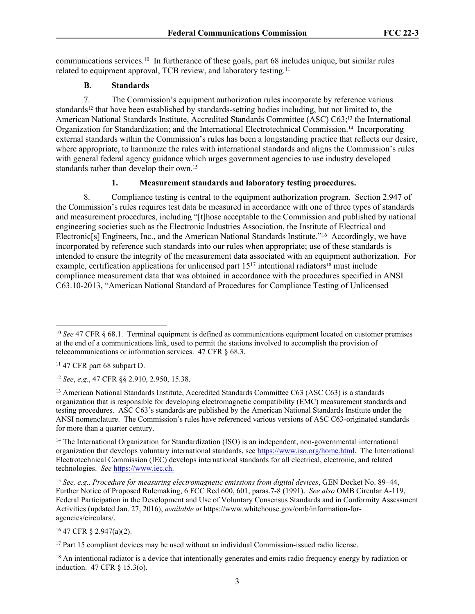communications services.<sup>10</sup> In furtherance of these goals, part 68 includes unique, but similar rules related to equipment approval, TCB review, and laboratory testing.<sup>11</sup>

#### **B. Standards**

7. The Commission's equipment authorization rules incorporate by reference various standards<sup>12</sup> that have been established by standards-setting bodies including, but not limited to, the American National Standards Institute, Accredited Standards Committee (ASC) C63;13 the International Organization for Standardization; and the International Electrotechnical Commission.14 Incorporating external standards within the Commission's rules has been a longstanding practice that reflects our desire, where appropriate, to harmonize the rules with international standards and aligns the Commission's rules with general federal agency guidance which urges government agencies to use industry developed standards rather than develop their own.<sup>15</sup>

#### **1. Measurement standards and laboratory testing procedures.**

8. Compliance testing is central to the equipment authorization program. Section 2.947 of the Commission's rules requires test data be measured in accordance with one of three types of standards and measurement procedures, including "[t]hose acceptable to the Commission and published by national engineering societies such as the Electronic Industries Association, the Institute of Electrical and Electronic[s] Engineers, Inc., and the American National Standards Institute."<sup>16</sup> Accordingly, we have incorporated by reference such standards into our rules when appropriate; use of these standards is intended to ensure the integrity of the measurement data associated with an equipment authorization. For example, certification applications for unlicensed part  $15^{17}$  intentional radiators<sup>18</sup> must include compliance measurement data that was obtained in accordance with the procedures specified in ANSI C63.10-2013, "American National Standard of Procedures for Compliance Testing of Unlicensed

<sup>12</sup> *See*, *e.g.*, 47 CFR §§ 2.910, 2.950, 15.38.

<sup>16</sup> 47 CFR § 2.947(a)(2).

<sup>18</sup> An intentional radiator is a device that intentionally generates and emits radio frequency energy by radiation or induction. 47 CFR § 15.3(o).

<sup>&</sup>lt;sup>10</sup> *See* 47 CFR § 68.1. Terminal equipment is defined as communications equipment located on customer premises at the end of a communications link, used to permit the stations involved to accomplish the provision of telecommunications or information services. 47 CFR § 68.3.

<sup>11</sup> 47 CFR part 68 subpart D.

<sup>13</sup> American National Standards Institute, Accredited Standards Committee C63 (ASC C63) is a standards organization that is responsible for developing electromagnetic compatibility (EMC) measurement standards and testing procedures. ASC C63's standards are published by the American National Standards Institute under the ANSI nomenclature. The Commission's rules have referenced various versions of ASC C63-originated standards for more than a quarter century.

<sup>14</sup> The International Organization for Standardization (ISO) is an independent, non-governmental international organization that develops voluntary international standards, see <https://www.iso.org/home.html>. The International Electrotechnical Commission (IEC) develops international standards for all electrical, electronic, and related technologies. *See* [https://www.iec.ch.](https://www.iec.ch)

<sup>15</sup> *See, e.g., Procedure for measuring electromagnetic emissions from digital devices*, GEN Docket No. 89–44, Further Notice of Proposed Rulemaking, 6 FCC Rcd 600, 601, paras.7-8 (1991). *See also* OMB Circular A-119, Federal Participation in the Development and Use of Voluntary Consensus Standards and in Conformity Assessment Activities (updated Jan. 27, 2016), *available at* https://www.whitehouse.gov/omb/information-foragencies/circulars/.

<sup>&</sup>lt;sup>17</sup> Part 15 compliant devices may be used without an individual Commission-issued radio license.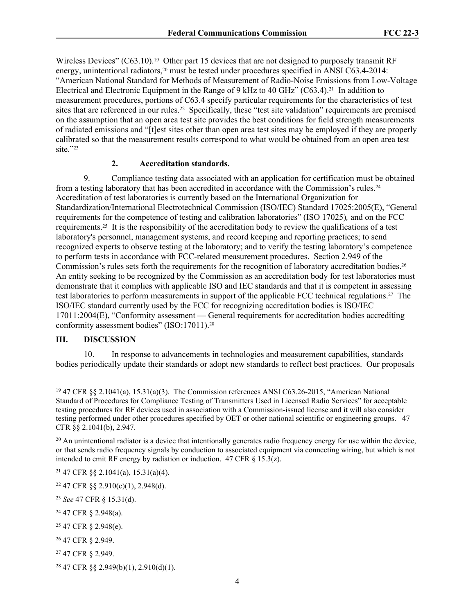Wireless Devices" (C63.10).<sup>19</sup> Other part 15 devices that are not designed to purposely transmit RF energy, unintentional radiators,<sup>20</sup> must be tested under procedures specified in ANSI C63.4-2014: "American National Standard for Methods of Measurement of Radio-Noise Emissions from Low-Voltage Electrical and Electronic Equipment in the Range of 9 kHz to 40 GHz" (C63.4).<sup>21</sup> In addition to measurement procedures, portions of C63.4 specify particular requirements for the characteristics of test sites that are referenced in our rules.22 Specifically, these "test site validation" requirements are premised on the assumption that an open area test site provides the best conditions for field strength measurements of radiated emissions and "[t]est sites other than open area test sites may be employed if they are properly calibrated so that the measurement results correspond to what would be obtained from an open area test site."<sup>23</sup>

### **2. Accreditation standards.**

9. Compliance testing data associated with an application for certification must be obtained from a testing laboratory that has been accredited in accordance with the Commission's rules.<sup>24</sup> Accreditation of test laboratories is currently based on the International Organization for Standardization/International Electrotechnical Commission (ISO/IEC) Standard 17025:2005(E), "General requirements for the competence of testing and calibration laboratories" (ISO 17025)*,* and on the FCC requirements.25 It is the responsibility of the accreditation body to review the qualifications of a test laboratory's personnel, management systems, and record keeping and reporting practices; to send recognized experts to observe testing at the laboratory; and to verify the testing laboratory's competence to perform tests in accordance with FCC-related measurement procedures. Section 2.949 of the Commission's rules sets forth the requirements for the recognition of laboratory accreditation bodies.<sup>26</sup> An entity seeking to be recognized by the Commission as an accreditation body for test laboratories must demonstrate that it complies with applicable ISO and IEC standards and that it is competent in assessing test laboratories to perform measurements in support of the applicable FCC technical regulations.27 The ISO/IEC standard currently used by the FCC for recognizing accreditation bodies is ISO/IEC 17011:2004(E), "Conformity assessment — General requirements for accreditation bodies accrediting conformity assessment bodies" (ISO:17011).<sup>28</sup>

#### **III. DISCUSSION**

10. In response to advancements in technologies and measurement capabilities, standards bodies periodically update their standards or adopt new standards to reflect best practices. Our proposals

- <sup>26</sup> 47 CFR § 2.949.
- <sup>27</sup> 47 CFR § 2.949.

<sup>19</sup> 47 CFR §§ 2.1041(a), 15.31(a)(3). The Commission references ANSI C63.26-2015, "American National Standard of Procedures for Compliance Testing of Transmitters Used in Licensed Radio Services" for acceptable testing procedures for RF devices used in association with a Commission-issued license and it will also consider testing performed under other procedures specified by OET or other national scientific or engineering groups. 47 CFR §§ 2.1041(b), 2.947.

 $20$  An unintentional radiator is a device that intentionally generates radio frequency energy for use within the device, or that sends radio frequency signals by conduction to associated equipment via connecting wiring, but which is not intended to emit RF energy by radiation or induction. 47 CFR  $\S$  15.3(z).

 $21$  47 CFR §§ 2.1041(a), 15.31(a)(4).

 $22$  47 CFR §§ 2.910(c)(1), 2.948(d).

<sup>23</sup> *See* 47 CFR § 15.31(d).

<sup>24</sup> 47 CFR § 2.948(a).

<sup>25</sup> 47 CFR § 2.948(e).

 $28$  47 CFR §§ 2.949(b)(1), 2.910(d)(1).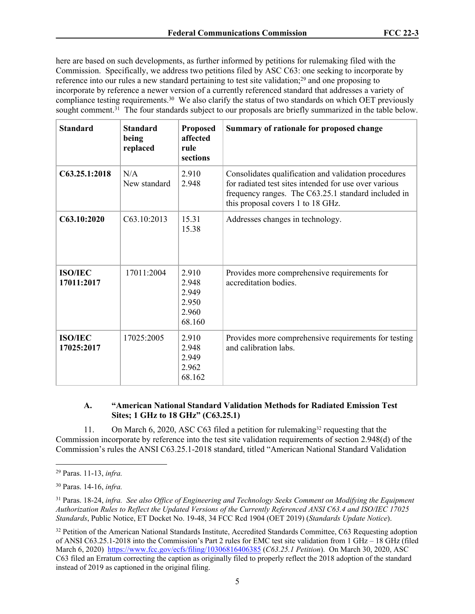here are based on such developments, as further informed by petitions for rulemaking filed with the Commission. Specifically, we address two petitions filed by ASC C63: one seeking to incorporate by reference into our rules a new standard pertaining to test site validation;<sup>29</sup> and one proposing to incorporate by reference a newer version of a currently referenced standard that addresses a variety of compliance testing requirements.<sup>30</sup> We also clarify the status of two standards on which OET previously sought comment.<sup>31</sup> The four standards subject to our proposals are briefly summarized in the table below.

| <b>Standard</b>              | <b>Standard</b><br>being<br>replaced | <b>Proposed</b><br>affected<br>rule<br>sections     | Summary of rationale for proposed change                                                                                                                                                                  |
|------------------------------|--------------------------------------|-----------------------------------------------------|-----------------------------------------------------------------------------------------------------------------------------------------------------------------------------------------------------------|
| C63.25.1:2018                | N/A<br>New standard                  | 2.910<br>2.948                                      | Consolidates qualification and validation procedures<br>for radiated test sites intended for use over various<br>frequency ranges. The C63.25.1 standard included in<br>this proposal covers 1 to 18 GHz. |
| C63.10:2020                  | C63.10:2013                          | 15.31<br>15.38                                      | Addresses changes in technology.                                                                                                                                                                          |
| <b>ISO/IEC</b><br>17011:2017 | 17011:2004                           | 2.910<br>2.948<br>2.949<br>2.950<br>2.960<br>68.160 | Provides more comprehensive requirements for<br>accreditation bodies.                                                                                                                                     |
| <b>ISO/IEC</b><br>17025:2017 | 17025:2005                           | 2.910<br>2.948<br>2.949<br>2.962<br>68.162          | Provides more comprehensive requirements for testing<br>and calibration labs.                                                                                                                             |

# **A. "American National Standard Validation Methods for Radiated Emission Test Sites; 1 GHz to 18 GHz" (C63.25.1)**

11. On March 6, 2020, ASC C63 filed a petition for rulemaking<sup>32</sup> requesting that the Commission incorporate by reference into the test site validation requirements of section 2.948(d) of the Commission's rules the ANSI C63.25.1-2018 standard, titled "American National Standard Validation

<sup>29</sup> Paras. 11-13, *infra.*

<sup>30</sup> Paras. 14-16, *infra.*

<sup>31</sup> Paras. 18-24, *infra. See also Office of Engineering and Technology Seeks Comment on Modifying the Equipment Authorization Rules to Reflect the Updated Versions of the Currently Referenced ANSI C63.4 and ISO/IEC 17025 Standards*, Public Notice, ET Docket No. 19-48, 34 FCC Rcd 1904 (OET 2019) (*Standards Update Notice*).

<sup>&</sup>lt;sup>32</sup> Petition of the American National Standards Institute, Accredited Standards Committee, C63 Requesting adoption of ANSI C63.25.1-2018 into the Commission's Part 2 rules for EMC test site validation from 1 GHz – 18 GHz (filed March 6, 2020) <https://www.fcc.gov/ecfs/filing/10306816406385>(*C63.25.1 Petition*). On March 30, 2020, ASC C63 filed an Erratum correcting the caption as originally filed to properly reflect the 2018 adoption of the standard instead of 2019 as captioned in the original filing.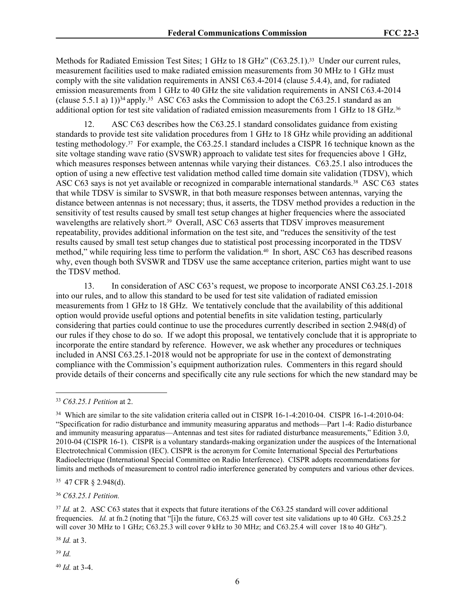Methods for Radiated Emission Test Sites; 1 GHz to 18 GHz" (C63.25.1).<sup>33</sup> Under our current rules, measurement facilities used to make radiated emission measurements from 30 MHz to 1 GHz must comply with the site validation requirements in ANSI C63.4-2014 (clause 5.4.4), and, for radiated emission measurements from 1 GHz to 40 GHz the site validation requirements in ANSI C63.4-2014 (clause 5.5.1 a) 1))<sup>34</sup> apply.<sup>35</sup> ASC C63 asks the Commission to adopt the C63.25.1 standard as an additional option for test site validation of radiated emission measurements from 1 GHz to 18 GHz.<sup>36</sup>

12. ASC C63 describes how the C63.25.1 standard consolidates guidance from existing standards to provide test site validation procedures from 1 GHz to 18 GHz while providing an additional testing methodology.37 For example, the C63.25.1 standard includes a CISPR 16 technique known as the site voltage standing wave ratio (SVSWR) approach to validate test sites for frequencies above 1 GHz, which measures responses between antennas while varying their distances. C63.25.1 also introduces the option of using a new effective test validation method called time domain site validation (TDSV), which ASC C63 says is not yet available or recognized in comparable international standards.<sup>38</sup> ASC C63 states that while TDSV is similar to SVSWR, in that both measure responses between antennas, varying the distance between antennas is not necessary; thus, it asserts, the TDSV method provides a reduction in the sensitivity of test results caused by small test setup changes at higher frequencies where the associated wavelengths are relatively short.<sup>39</sup> Overall, ASC C63 asserts that TDSV improves measurement repeatability, provides additional information on the test site, and "reduces the sensitivity of the test results caused by small test setup changes due to statistical post processing incorporated in the TDSV method," while requiring less time to perform the validation.<sup>40</sup> In short, ASC C63 has described reasons why, even though both SVSWR and TDSV use the same acceptance criterion, parties might want to use the TDSV method.

13. In consideration of ASC C63's request, we propose to incorporate ANSI C63.25.1-2018 into our rules, and to allow this standard to be used for test site validation of radiated emission measurements from 1 GHz to 18 GHz. We tentatively conclude that the availability of this additional option would provide useful options and potential benefits in site validation testing, particularly considering that parties could continue to use the procedures currently described in section 2.948(d) of our rules if they chose to do so. If we adopt this proposal, we tentatively conclude that it is appropriate to incorporate the entire standard by reference. However, we ask whether any procedures or techniques included in ANSI C63.25.1-2018 would not be appropriate for use in the context of demonstrating compliance with the Commission's equipment authorization rules. Commenters in this regard should provide details of their concerns and specifically cite any rule sections for which the new standard may be

<sup>36</sup> *C63.25.1 Petition.*

<sup>38</sup> *Id.* at 3.

<sup>39</sup> *Id.*

<sup>40</sup> *Id.* at 3-4.

<sup>33</sup> *C63.25.1 Petition* at 2.

<sup>34</sup> Which are similar to the site validation criteria called out in CISPR 16-1-4:2010-04.CISPR 16-1-4:2010-04: "Specification for radio disturbance and immunity measuring apparatus and methods—Part 1-4: Radio disturbance and immunity measuring apparatus—Antennas and test sites for radiated disturbance measurements," Edition 3.0, 2010-04 (CISPR 16-1). CISPR is a voluntary standards-making organization under the auspices of the International Electrotechnical Commission (IEC). CISPR is the acronym for Comite International Special des Perturbations Radioelectrique (International Special Committee on Radio Interference). CISPR adopts recommendations for limits and methods of measurement to control radio interference generated by computers and various other devices.

<sup>35</sup> 47 CFR § 2.948(d).

<sup>&</sup>lt;sup>37</sup> *Id.* at 2. ASC C63 states that it expects that future iterations of the C63.25 standard will cover additional frequencies. *Id.* at fn.2 (noting that "[i]n the future, C63.25 will cover test site validations up to 40 GHz. C63.25.2 will cover 30 MHz to 1 GHz; C63.25.3 will cover 9 kHz to 30 MHz; and C63.25.4 will cover 18 to 40 GHz").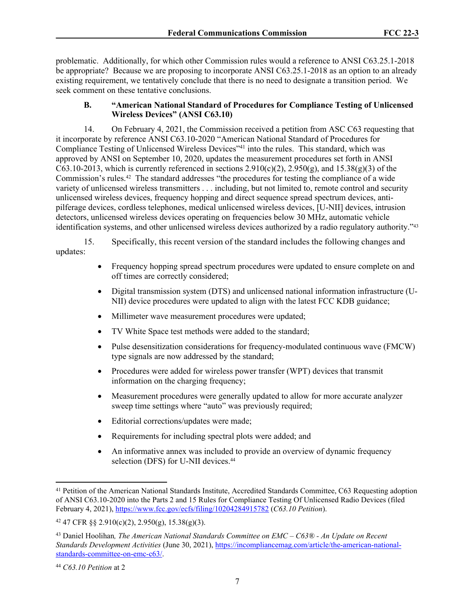problematic. Additionally, for which other Commission rules would a reference to ANSI C63.25.1-2018 be appropriate? Because we are proposing to incorporate ANSI C63.25.1-2018 as an option to an already existing requirement, we tentatively conclude that there is no need to designate a transition period. We seek comment on these tentative conclusions.

# **B. "American National Standard of Procedures for Compliance Testing of Unlicensed Wireless Devices" (ANSI C63.10)**

14. On February 4, 2021, the Commission received a petition from ASC C63 requesting that it incorporate by reference ANSI C63.10-2020 "American National Standard of Procedures for Compliance Testing of Unlicensed Wireless Devices<sup>741</sup> into the rules. This standard, which was approved by ANSI on September 10, 2020, updates the measurement procedures set forth in ANSI C63.10-2013, which is currently referenced in sections  $2.910(c)(2)$ ,  $2.950(g)$ , and  $15.38(g)(3)$  of the Commission's rules.42 The standard addresses "the procedures for testing the compliance of a wide variety of unlicensed wireless transmitters . . . including, but not limited to, remote control and security unlicensed wireless devices, frequency hopping and direct sequence spread spectrum devices, antipilferage devices, cordless telephones, medical unlicensed wireless devices, [U-NII] devices, intrusion detectors, unlicensed wireless devices operating on frequencies below 30 MHz, automatic vehicle identification systems, and other unlicensed wireless devices authorized by a radio regulatory authority."<sup>43</sup>

15. Specifically, this recent version of the standard includes the following changes and updates:

- Frequency hopping spread spectrum procedures were updated to ensure complete on and off times are correctly considered;
- Digital transmission system (DTS) and unlicensed national information infrastructure (U-NII) device procedures were updated to align with the latest FCC KDB guidance;
- Millimeter wave measurement procedures were updated;
- TV White Space test methods were added to the standard;
- Pulse desensitization considerations for frequency-modulated continuous wave (FMCW) type signals are now addressed by the standard;
- Procedures were added for wireless power transfer (WPT) devices that transmit information on the charging frequency;
- Measurement procedures were generally updated to allow for more accurate analyzer sweep time settings where "auto" was previously required;
- Editorial corrections/updates were made;
- Requirements for including spectral plots were added; and
- An informative annex was included to provide an overview of dynamic frequency selection (DFS) for U-NII devices.<sup>44</sup>

<sup>41</sup> Petition of the American National Standards Institute, Accredited Standards Committee, C63 Requesting adoption of ANSI C63.10-2020 into the Parts 2 and 15 Rules for Compliance Testing Of Unlicensed Radio Devices (filed February 4, 2021), <https://www.fcc.gov/ecfs/filing/10204284915782>(*C63.10 Petition*).

<sup>42</sup> 47 CFR §§ 2.910(c)(2), 2.950(g), 15.38(g)(3).

<sup>43</sup> Daniel Hoolihan*, The American National Standards Committee on EMC – C63® - An Update on Recent Standards Development Activities* (June 30, 2021), [https://incompliancemag.com/article/the-american-national](https://incompliancemag.com/article/the-american-national-standards-committee-on-emc-c63/)[standards-committee-on-emc-c63/](https://incompliancemag.com/article/the-american-national-standards-committee-on-emc-c63/).

<sup>44</sup> *C63.10 Petition* at 2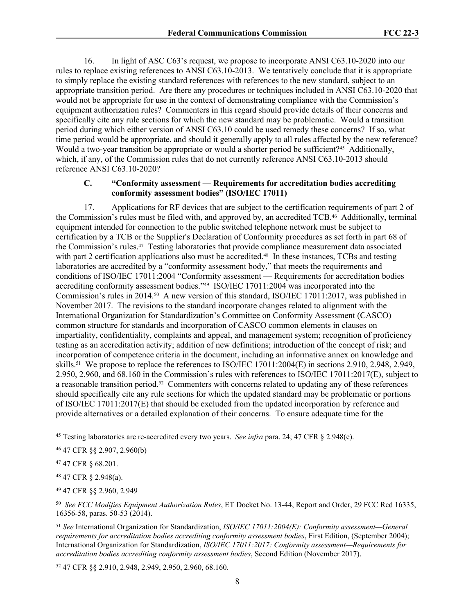16. In light of ASC C63's request, we propose to incorporate ANSI C63.10-2020 into our rules to replace existing references to ANSI C63.10-2013. We tentatively conclude that it is appropriate to simply replace the existing standard references with references to the new standard, subject to an appropriate transition period. Are there any procedures or techniques included in ANSI C63.10-2020 that would not be appropriate for use in the context of demonstrating compliance with the Commission's equipment authorization rules? Commenters in this regard should provide details of their concerns and specifically cite any rule sections for which the new standard may be problematic. Would a transition period during which either version of ANSI C63.10 could be used remedy these concerns? If so, what time period would be appropriate, and should it generally apply to all rules affected by the new reference? Would a two-year transition be appropriate or would a shorter period be sufficient?<sup>45</sup> Additionally, which, if any, of the Commission rules that do not currently reference ANSI C63.10-2013 should reference ANSI C63.10-2020?

## **C. "Conformity assessment — Requirements for accreditation bodies accrediting conformity assessment bodies" (ISO/IEC 17011)**

17. Applications for RF devices that are subject to the certification requirements of part 2 of the Commission's rules must be filed with, and approved by, an accredited TCB.46 Additionally, terminal equipment intended for connection to the public switched telephone network must be subject to certification by a TCB or the Supplier's Declaration of Conformity procedures as set forth in part 68 of the Commission's rules.47 Testing laboratories that provide compliance measurement data associated with part 2 certification applications also must be accredited.<sup>48</sup> In these instances, TCBs and testing laboratories are accredited by a "conformity assessment body," that meets the requirements and conditions of ISO/IEC 17011:2004 "Conformity assessment — Requirements for accreditation bodies accrediting conformity assessment bodies."49 ISO/IEC 17011:2004 was incorporated into the Commission's rules in 2014.50 A new version of this standard, ISO/IEC 17011:2017, was published in November 2017. The revisions to the standard incorporate changes related to alignment with the International Organization for Standardization's Committee on Conformity Assessment (CASCO) common structure for standards and incorporation of CASCO common elements in clauses on impartiality, confidentiality, complaints and appeal, and management system; recognition of proficiency testing as an accreditation activity; addition of new definitions; introduction of the concept of risk; and incorporation of competence criteria in the document, including an informative annex on knowledge and skills.51 We propose to replace the references to ISO/IEC 17011:2004(E) in sections 2.910, 2.948, 2.949, 2.950, 2.960, and 68.160 in the Commission's rules with references to ISO/IEC 17011:2017(E), subject to a reasonable transition period.52 Commenters with concerns related to updating any of these references should specifically cite any rule sections for which the updated standard may be problematic or portions of ISO/IEC 17011:2017(E) that should be excluded from the updated incorporation by reference and provide alternatives or a detailed explanation of their concerns. To ensure adequate time for the

<sup>47</sup> 47 CFR § 68.201.

<sup>48</sup> 47 CFR § 2.948(a).

<sup>49</sup> 47 CFR §§ 2.960, 2.949

50 *See FCC Modifies Equipment Authorization Rules*, ET Docket No. 13-44, Report and Order, 29 FCC Rcd 16335, 16356-58, paras. 50-53 (2014).

<sup>51</sup> *See* International Organization for Standardization, *ISO/IEC 17011:2004(E): Conformity assessment—General requirements for accreditation bodies accrediting conformity assessment bodies*, First Edition, (September 2004); International Organization for Standardization, *ISO/IEC 17011:2017: Conformity assessment—Requirements for accreditation bodies accrediting conformity assessment bodies*, Second Edition (November 2017).

52 47 CFR §§ 2.910, 2.948, 2.949, 2.950, 2.960, 68.160.

<sup>45</sup> Testing laboratories are re-accredited every two years. *See infra* para. 24; 47 CFR § 2.948(e).

<sup>46</sup> 47 CFR §§ 2.907, 2.960(b)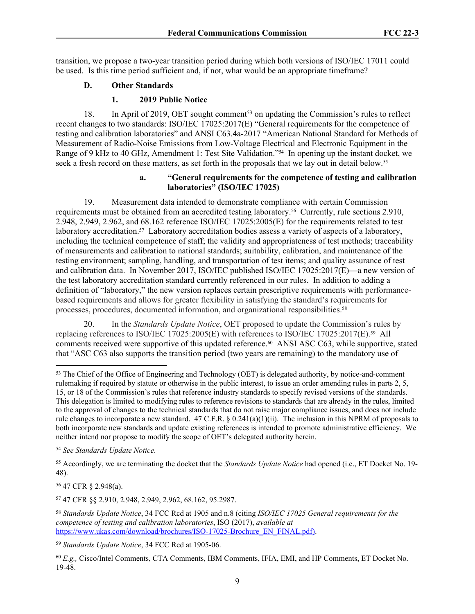transition, we propose a two-year transition period during which both versions of ISO/IEC 17011 could be used. Is this time period sufficient and, if not, what would be an appropriate timeframe?

# **D. Other Standards**

# **1. 2019 Public Notice**

18. In April of 2019, OET sought comment<sup>53</sup> on updating the Commission's rules to reflect recent changes to two standards: ISO/IEC 17025:2017(E) "General requirements for the competence of testing and calibration laboratories" and ANSI C63.4a-2017 "American National Standard for Methods of Measurement of Radio-Noise Emissions from Low-Voltage Electrical and Electronic Equipment in the Range of 9 kHz to 40 GHz, Amendment 1: Test Site Validation."54 In opening up the instant docket, we seek a fresh record on these matters, as set forth in the proposals that we lay out in detail below.<sup>55</sup>

# **a. "General requirements for the competence of testing and calibration laboratories" (ISO/IEC 17025)**

19. Measurement data intended to demonstrate compliance with certain Commission requirements must be obtained from an accredited testing laboratory.56 Currently, rule sections 2.910, 2.948, 2.949, 2.962, and 68.162 reference ISO/IEC 17025:2005(E) for the requirements related to test laboratory accreditation.<sup>57</sup> Laboratory accreditation bodies assess a variety of aspects of a laboratory, including the technical competence of staff; the validity and appropriateness of test methods; traceability of measurements and calibration to national standards; suitability, calibration, and maintenance of the testing environment; sampling, handling, and transportation of test items; and quality assurance of test and calibration data. In November 2017, ISO/IEC published ISO/IEC 17025:2017(E)—a new version of the test laboratory accreditation standard currently referenced in our rules. In addition to adding a definition of "laboratory," the new version replaces certain prescriptive requirements with performancebased requirements and allows for greater flexibility in satisfying the standard's requirements for processes, procedures, documented information, and organizational responsibilities.<sup>58</sup>

20. In the *Standards Update Notice*, OET proposed to update the Commission's rules by replacing references to ISO/IEC 17025:2005(E) with references to ISO/IEC 17025:2017(E).59 All comments received were supportive of this updated reference.<sup>60</sup> ANSI ASC C63, while supportive, stated that "ASC C63 also supports the transition period (two years are remaining) to the mandatory use of

<sup>55</sup> Accordingly, we are terminating the docket that the *Standards Update Notice* had opened (i.e., ET Docket No. 19- 48).

<sup>56</sup> 47 CFR § 2.948(a).

<sup>57</sup> 47 CFR §§ 2.910, 2.948, 2.949, 2.962, 68.162, 95.2987.

<sup>58</sup> *Standards Update Notice*, 34 FCC Rcd at 1905 and n.8 (citing *ISO/IEC 17025 General requirements for the competence of testing and calibration laboratories*, ISO (2017), *available at* [https://www.ukas.com/download/brochures/ISO-17025-Brochure\\_EN\\_FINAL.pdf\)](https://www.ukas.com/download/brochures/ISO-17025-Brochure_EN_FINAL.pdf).

<sup>59</sup> *Standards Update Notice*, 34 FCC Rcd at 1905-06.

<sup>60</sup> *E.g.,* Cisco/Intel Comments, CTA Comments, IBM Comments, IFIA, EMI, and HP Comments, ET Docket No. 19-48.

<sup>&</sup>lt;sup>53</sup> The Chief of the Office of Engineering and Technology (OET) is delegated authority, by notice-and-comment rulemaking if required by statute or otherwise in the public interest, to issue an order amending rules in parts 2, 5, 15, or 18 of the Commission's rules that reference industry standards to specify revised versions of the standards. This delegation is limited to modifying rules to reference revisions to standards that are already in the rules, limited to the approval of changes to the technical standards that do not raise major compliance issues, and does not include rule changes to incorporate a new standard. 47 C.F.R.  $\S$  0.241(a)(1)(ii). The inclusion in this NPRM of proposals to both incorporate new standards and update existing references is intended to promote administrative efficiency. We neither intend nor propose to modify the scope of OET's delegated authority herein.

<sup>54</sup> *See Standards Update Notice*.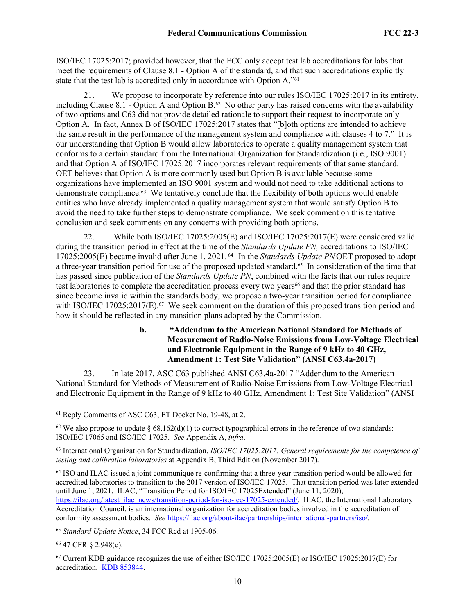ISO/IEC 17025:2017; provided however, that the FCC only accept test lab accreditations for labs that meet the requirements of Clause 8.1 - Option A of the standard, and that such accreditations explicitly state that the test lab is accredited only in accordance with Option A."<sup>61</sup>

21. We propose to incorporate by reference into our rules ISO/IEC 17025:2017 in its entirety, including Clause 8.1 - Option A and Option  $B<sup>62</sup>$  No other party has raised concerns with the availability of two options and C63 did not provide detailed rationale to support their request to incorporate only Option A. In fact, Annex B of ISO/IEC 17025:2017 states that "[b]oth options are intended to achieve the same result in the performance of the management system and compliance with clauses 4 to 7." It is our understanding that Option B would allow laboratories to operate a quality management system that conforms to a certain standard from the International Organization for Standardization (i.e., ISO 9001) and that Option A of ISO/IEC 17025:2017 incorporates relevant requirements of that same standard. OET believes that Option A is more commonly used but Option B is available because some organizations have implemented an ISO 9001 system and would not need to take additional actions to demonstrate compliance.63 We tentatively conclude that the flexibility of both options would enable entities who have already implemented a quality management system that would satisfy Option B to avoid the need to take further steps to demonstrate compliance. We seek comment on this tentative conclusion and seek comments on any concerns with providing both options.

22. While both ISO/IEC 17025:2005(E) and ISO/IEC 17025:2017(E) were considered valid during the transition period in effect at the time of the *Standards Update PN,* accreditations to ISO/IEC 17025:2005(E) became invalid after June 1, 2021.<sup>64</sup> In the *Standards Update PN* OET proposed to adopt a three-year transition period for use of the proposed updated standard.65 In consideration of the time that has passed since publication of the *Standards Update PN*, combined with the facts that our rules require test laboratories to complete the accreditation process every two years<sup>66</sup> and that the prior standard has since become invalid within the standards body, we propose a two-year transition period for compliance with ISO/IEC 17025:2017(E).<sup>67</sup> We seek comment on the duration of this proposed transition period and how it should be reflected in any transition plans adopted by the Commission.

> **b. "Addendum to the American National Standard for Methods of Measurement of Radio-Noise Emissions from Low-Voltage Electrical and Electronic Equipment in the Range of 9 kHz to 40 GHz, Amendment 1: Test Site Validation" (ANSI C63.4a-2017)**

23. In late 2017, ASC C63 published ANSI C63.4a-2017 "Addendum to the American National Standard for Methods of Measurement of Radio-Noise Emissions from Low-Voltage Electrical and Electronic Equipment in the Range of 9 kHz to 40 GHz, Amendment 1: Test Site Validation" (ANSI

<sup>64</sup> ISO and ILAC issued a joint communique re-confirming that a three-year transition period would be allowed for accredited laboratories to transition to the 2017 version of ISO/IEC 17025. That transition period was later extended until June 1, 2021. ILAC, "Transition Period for ISO/IEC 17025Extended" (June 11, 2020), [https://ilac.org/latest\\_ilac\\_news/transition-period-for-iso-iec-17025-extended/.](https://ilac.org/latest_ilac_news/transition-period-for-iso-iec-17025-extended/) ILAC, the International Laboratory Accreditation Council, is an international organization for accreditation bodies involved in the accreditation of conformity assessment bodies. *See* <https://ilac.org/about-ilac/partnerships/international-partners/iso/>*.*

<sup>66</sup> 47 CFR § 2.948(e).

<sup>67</sup> Current KDB guidance recognizes the use of either ISO/IEC 17025:2005(E) or ISO/IEC 17025:2017(E) for accreditation. [KDB 853844.](https://apps.fcc.gov/oetcf/kdb/forms/FTSSearchResultPage.cfm?id=44615&switch=P)

<sup>61</sup> Reply Comments of ASC C63, ET Docket No. 19-48, at 2.

<sup>&</sup>lt;sup>62</sup> We also propose to update § 68.162(d)(1) to correct typographical errors in the reference of two standards: ISO/IEC 17065 and ISO/IEC 17025. *See* Appendix A, *infra*.

<sup>63</sup> International Organization for Standardization, *ISO/IEC 17025:2017: General requirements for the competence of testing and calibration laboratories* at Appendix B, Third Edition (November 2017).

<sup>65</sup> *Standard Update Notice*, 34 FCC Rcd at 1905-06.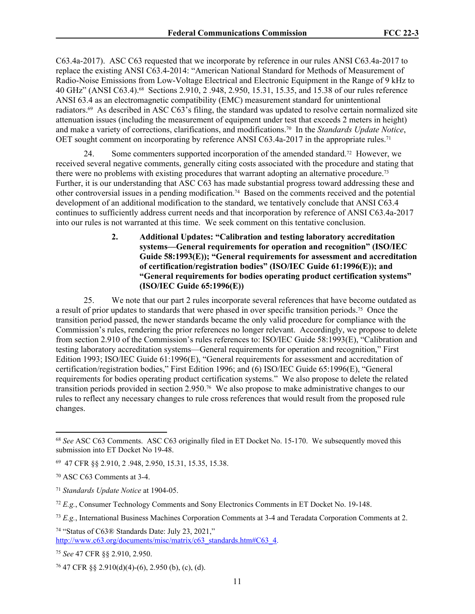C63.4a-2017). ASC C63 requested that we incorporate by reference in our rules ANSI C63.4a-2017 to replace the existing ANSI C63.4-2014: "American National Standard for Methods of Measurement of Radio-Noise Emissions from Low-Voltage Electrical and Electronic Equipment in the Range of 9 kHz to 40 GHz" (ANSI C63.4).68 Sections 2.910, 2 .948, 2.950, 15.31, 15.35, and 15.38 of our rules reference ANSI 63.4 as an electromagnetic compatibility (EMC) measurement standard for unintentional radiators.69 As described in ASC C63's filing, the standard was updated to resolve certain normalized site attenuation issues (including the measurement of equipment under test that exceeds 2 meters in height) and make a variety of corrections, clarifications, and modifications.70 In the *Standards Update Notice*, OET sought comment on incorporating by reference ANSI C63.4a-2017 in the appropriate rules.<sup>71</sup>

24. Some commenters supported incorporation of the amended standard.<sup>72</sup> However, we received several negative comments, generally citing costs associated with the procedure and stating that there were no problems with existing procedures that warrant adopting an alternative procedure.<sup>73</sup> Further, it is our understanding that ASC C63 has made substantial progress toward addressing these and other controversial issues in a pending modification.74 Based on the comments received and the potential development of an additional modification to the standard, we tentatively conclude that ANSI C63.4 continues to sufficiently address current needs and that incorporation by reference of ANSI C63.4a-2017 into our rules is not warranted at this time. We seek comment on this tentative conclusion.

> **2. Additional Updates: "Calibration and testing laboratory accreditation systems—General requirements for operation and recognition" (ISO/IEC Guide 58:1993(E)); "General requirements for assessment and accreditation of certification/registration bodies" (ISO/IEC Guide 61:1996(E)); and "General requirements for bodies operating product certification systems" (ISO/IEC Guide 65:1996(E))**

25. We note that our part 2 rules incorporate several references that have become outdated as a result of prior updates to standards that were phased in over specific transition periods.75 Once the transition period passed, the newer standards became the only valid procedure for compliance with the Commission's rules, rendering the prior references no longer relevant. Accordingly, we propose to delete from section 2.910 of the Commission's rules references to: ISO/IEC Guide 58:1993(E), "Calibration and testing laboratory accreditation systems—General requirements for operation and recognition," First Edition 1993; ISO/IEC Guide 61:1996(E), "General requirements for assessment and accreditation of certification/registration bodies," First Edition 1996; and (6) ISO/IEC Guide 65:1996(E), "General requirements for bodies operating product certification systems." We also propose to delete the related transition periods provided in section 2.950.76 We also propose to make administrative changes to our rules to reflect any necessary changes to rule cross references that would result from the proposed rule changes.

<sup>74</sup> "Status of C63® Standards Date: July 23, 2021," [http://www.c63.org/documents/misc/matrix/c63\\_standards.htm#C63\\_4.](http://www.c63.org/documents/misc/matrix/c63_standards.htm#C63_4)

<sup>68</sup> *See* ASC C63 Comments. ASC C63 originally filed in ET Docket No. 15-170. We subsequently moved this submission into ET Docket No 19-48.

<sup>69</sup> 47 CFR §§ 2.910, 2 .948, 2.950, 15.31, 15.35, 15.38.

<sup>70</sup> ASC C63 Comments at 3-4.

<sup>71</sup> *Standards Update Notice* at 1904-05.

<sup>72</sup> *E.g.*, Consumer Technology Comments and Sony Electronics Comments in ET Docket No. 19-148.

<sup>73</sup> *E.g.*, International Business Machines Corporation Comments at 3-4 and Teradata Corporation Comments at 2.

<sup>75</sup> *See* 47 CFR §§ 2.910, 2.950.

 $76$  47 CFR §§ 2.910(d)(4)-(6), 2.950 (b), (c), (d).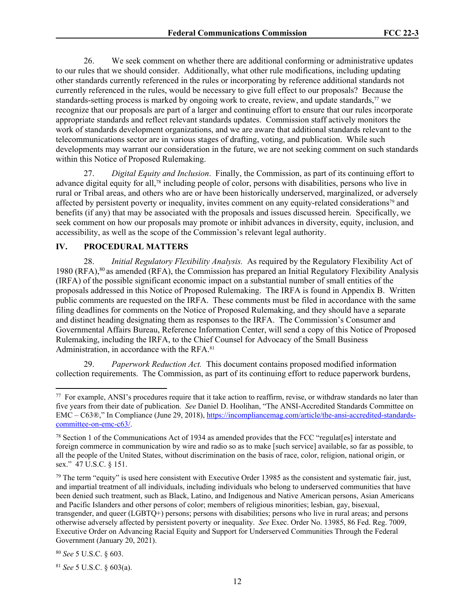26. We seek comment on whether there are additional conforming or administrative updates to our rules that we should consider. Additionally, what other rule modifications, including updating other standards currently referenced in the rules or incorporating by reference additional standards not currently referenced in the rules, would be necessary to give full effect to our proposals? Because the standards-setting process is marked by ongoing work to create, review, and update standards, $\frac{7}{7}$  we recognize that our proposals are part of a larger and continuing effort to ensure that our rules incorporate appropriate standards and reflect relevant standards updates. Commission staff actively monitors the work of standards development organizations, and we are aware that additional standards relevant to the telecommunications sector are in various stages of drafting, voting, and publication. While such developments may warrant our consideration in the future, we are not seeking comment on such standards within this Notice of Proposed Rulemaking.

27. *Digital Equity and Inclusion*. Finally, the Commission, as part of its continuing effort to advance digital equity for all,78 including people of color, persons with disabilities, persons who live in rural or Tribal areas, and others who are or have been historically underserved, marginalized, or adversely affected by persistent poverty or inequality, invites comment on any equity-related considerations79 and benefits (if any) that may be associated with the proposals and issues discussed herein. Specifically, we seek comment on how our proposals may promote or inhibit advances in diversity, equity, inclusion, and accessibility, as well as the scope of the Commission's relevant legal authority.

#### **IV. PROCEDURAL MATTERS**

28. *Initial Regulatory Flexibility Analysis.* As required by the Regulatory Flexibility Act of 1980 (RFA),<sup>80</sup> as amended (RFA), the Commission has prepared an Initial Regulatory Flexibility Analysis (IRFA) of the possible significant economic impact on a substantial number of small entities of the proposals addressed in this Notice of Proposed Rulemaking. The IRFA is found in Appendix B. Written public comments are requested on the IRFA. These comments must be filed in accordance with the same filing deadlines for comments on the Notice of Proposed Rulemaking, and they should have a separate and distinct heading designating them as responses to the IRFA. The Commission's Consumer and Governmental Affairs Bureau, Reference Information Center, will send a copy of this Notice of Proposed Rulemaking, including the IRFA, to the Chief Counsel for Advocacy of the Small Business Administration, in accordance with the RFA.<sup>81</sup>

29. *Paperwork Reduction Act.* This document contains proposed modified information collection requirements. The Commission, as part of its continuing effort to reduce paperwork burdens,

<sup>&</sup>lt;sup>77</sup> For example, ANSI's procedures require that it take action to reaffirm, revise, or withdraw standards no later than five years from their date of publication. *See* Daniel D. Hoolihan, "The ANSI-Accredited Standards Committee on EMC – C63®," In Compliance (June 29, 2018), [https://incompliancemag.com/article/the-ansi-accredited-standards](https://incompliancemag.com/article/the-ansi-accredited-standards-committee-on-emc-c63/)[committee-on-emc-c63/](https://incompliancemag.com/article/the-ansi-accredited-standards-committee-on-emc-c63/).

<sup>78</sup> Section 1 of the Communications Act of 1934 as amended provides that the FCC "regulat[es] interstate and foreign commerce in communication by wire and radio so as to make [such service] available, so far as possible, to all the people of the United States, without discrimination on the basis of race, color, religion, national origin, or sex." 47 U.S.C. § 151.

 $79$  The term "equity" is used here consistent with Executive Order 13985 as the consistent and systematic fair, just, and impartial treatment of all individuals, including individuals who belong to underserved communities that have been denied such treatment, such as Black, Latino, and Indigenous and Native American persons, Asian Americans and Pacific Islanders and other persons of color; members of religious minorities; lesbian, gay, bisexual, transgender, and queer (LGBTQ+) persons; persons with disabilities; persons who live in rural areas; and persons otherwise adversely affected by persistent poverty or inequality. *See* Exec. Order No. 13985, 86 Fed. Reg. 7009, Executive Order on Advancing Racial Equity and Support for Underserved Communities Through the Federal Government (January 20, 2021).

<sup>80</sup> *See* 5 U.S.C. § 603.

<sup>81</sup> *See* 5 U.S.C. § 603(a).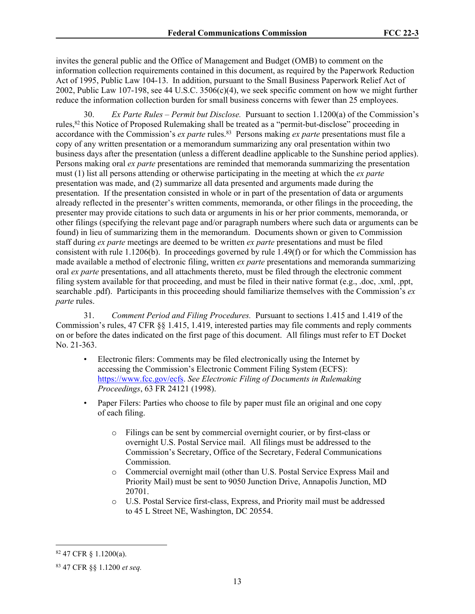invites the general public and the Office of Management and Budget (OMB) to comment on the information collection requirements contained in this document, as required by the Paperwork Reduction Act of 1995, Public Law 104-13. In addition, pursuant to the Small Business Paperwork Relief Act of 2002, Public Law 107-198, see 44 U.S.C. 3506(c)(4), we seek specific comment on how we might further reduce the information collection burden for small business concerns with fewer than 25 employees.

30. *Ex Parte Rules – Permit but Disclose.* Pursuant to section 1.1200(a) of the Commission's rules,<sup>82</sup> this Notice of Proposed Rulemaking shall be treated as a "permit-but-disclose" proceeding in accordance with the Commission's *ex parte* rules.<sup>83</sup> Persons making *ex parte* presentations must file a copy of any written presentation or a memorandum summarizing any oral presentation within two business days after the presentation (unless a different deadline applicable to the Sunshine period applies). Persons making oral *ex parte* presentations are reminded that memoranda summarizing the presentation must (1) list all persons attending or otherwise participating in the meeting at which the *ex parte*  presentation was made, and (2) summarize all data presented and arguments made during the presentation. If the presentation consisted in whole or in part of the presentation of data or arguments already reflected in the presenter's written comments, memoranda, or other filings in the proceeding, the presenter may provide citations to such data or arguments in his or her prior comments, memoranda, or other filings (specifying the relevant page and/or paragraph numbers where such data or arguments can be found) in lieu of summarizing them in the memorandum. Documents shown or given to Commission staff during *ex parte* meetings are deemed to be written *ex parte* presentations and must be filed consistent with rule 1.1206(b). In proceedings governed by rule 1.49(f) or for which the Commission has made available a method of electronic filing, written *ex parte* presentations and memoranda summarizing oral *ex parte* presentations, and all attachments thereto, must be filed through the electronic comment filing system available for that proceeding, and must be filed in their native format (e.g., .doc, .xml, .ppt, searchable .pdf). Participants in this proceeding should familiarize themselves with the Commission's *ex parte* rules.

31. *Comment Period and Filing Procedures.* Pursuant to sections 1.415 and 1.419 of the Commission's rules, 47 CFR §§ 1.415, 1.419, interested parties may file comments and reply comments on or before the dates indicated on the first page of this document. All filings must refer to ET Docket No. 21-363.

- Electronic filers: Comments may be filed electronically using the Internet by accessing the Commission's Electronic Comment Filing System (ECFS): [https://www.fcc.gov/ecfs.](https://www.fcc.gov/ecfs) *See Electronic Filing of Documents in Rulemaking Proceedings*, 63 FR 24121 (1998).
- Paper Filers: Parties who choose to file by paper must file an original and one copy of each filing.
	- o Filings can be sent by commercial overnight courier, or by first-class or overnight U.S. Postal Service mail. All filings must be addressed to the Commission's Secretary, Office of the Secretary, Federal Communications Commission.
	- o Commercial overnight mail (other than U.S. Postal Service Express Mail and Priority Mail) must be sent to 9050 Junction Drive, Annapolis Junction, MD 20701.
	- o U.S. Postal Service first-class, Express, and Priority mail must be addressed to 45 L Street NE, Washington, DC 20554.

<sup>82</sup> 47 CFR § 1.1200(a).

<sup>83</sup> 47 CFR §§ 1.1200 *et seq.*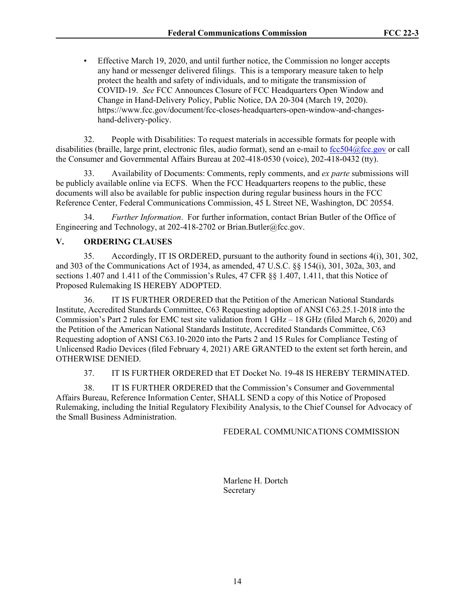• Effective March 19, 2020, and until further notice, the Commission no longer accepts any hand or messenger delivered filings. This is a temporary measure taken to help protect the health and safety of individuals, and to mitigate the transmission of COVID-19. *See* FCC Announces Closure of FCC Headquarters Open Window and Change in Hand-Delivery Policy, Public Notice, DA 20-304 (March 19, 2020). [https://www.fcc.gov/document/fcc-closes-headquarters-open-window-and-changes](https://www.fcc.gov/document/fcc-closes-headquarters-open-window-and-changes-hand-delivery-policy)[hand-delivery-policy](https://www.fcc.gov/document/fcc-closes-headquarters-open-window-and-changes-hand-delivery-policy).

32. People with Disabilities: To request materials in accessible formats for people with disabilities (braille, large print, electronic files, audio format), send an e-mail to [fcc504@fcc.gov](mailto:fcc504@fcc.gov) or call the Consumer and Governmental Affairs Bureau at 202-418-0530 (voice), 202-418-0432 (tty).

33. Availability of Documents: Comments, reply comments, and *ex parte* submissions will be publicly available online via ECFS. When the FCC Headquarters reopens to the public, these documents will also be available for public inspection during regular business hours in the FCC Reference Center, Federal Communications Commission, 45 L Street NE, Washington, DC 20554.

34. *Further Information*. For further information, contact Brian Butler of the Office of Engineering and Technology, at 202-418-2702 or Brian.Butler@fcc.gov.

# **V. ORDERING CLAUSES**

35. Accordingly, IT IS ORDERED, pursuant to the authority found in sections 4(i), 301, 302, and 303 of the Communications Act of 1934, as amended, 47 U.S.C. §§ 154(i), 301, 302a, 303, and sections 1.407 and 1.411 of the Commission's Rules, 47 CFR §§ 1.407, 1.411, that this Notice of Proposed Rulemaking IS HEREBY ADOPTED.

36. IT IS FURTHER ORDERED that the Petition of the American National Standards Institute, Accredited Standards Committee, C63 Requesting adoption of ANSI C63.25.1-2018 into the Commission's Part 2 rules for EMC test site validation from 1 GHz – 18 GHz (filed March 6, 2020) and the Petition of the American National Standards Institute, Accredited Standards Committee, C63 Requesting adoption of ANSI C63.10-2020 into the Parts 2 and 15 Rules for Compliance Testing of Unlicensed Radio Devices (filed February 4, 2021) ARE GRANTED to the extent set forth herein, and OTHERWISE DENIED.

37. IT IS FURTHER ORDERED that ET Docket No. 19-48 IS HEREBY TERMINATED.

38. IT IS FURTHER ORDERED that the Commission's Consumer and Governmental Affairs Bureau, Reference Information Center, SHALL SEND a copy of this Notice of Proposed Rulemaking, including the Initial Regulatory Flexibility Analysis, to the Chief Counsel for Advocacy of the Small Business Administration.

## FEDERAL COMMUNICATIONS COMMISSION

Marlene H. Dortch Secretary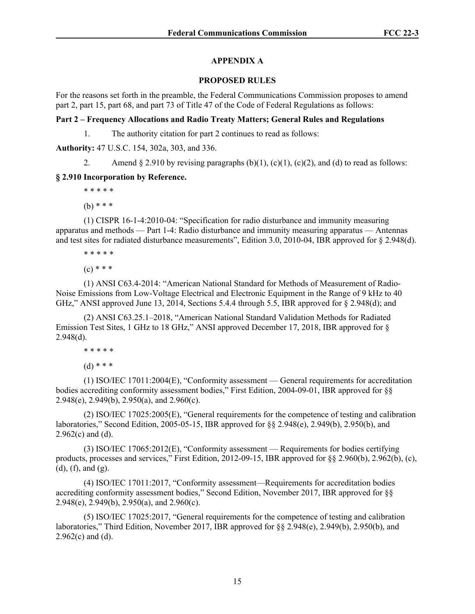# **APPENDIX A**

# **PROPOSED RULES**

For the reasons set forth in the preamble, the Federal Communications Commission proposes to amend part 2, part 15, part 68, and part 73 of Title 47 of the Code of Federal Regulations as follows:

# **Part 2 – Frequency Allocations and Radio Treaty Matters; General Rules and Regulations**

1. The authority citation for part 2 continues to read as follows:

**Authority:** 47 U.S.C. 154, 302a, 303, and 336.

2. Amend § 2.910 by revising paragraphs  $(b)(1)$ ,  $(c)(1)$ ,  $(c)(2)$ , and  $(d)$  to read as follows:

# **§ 2.910 Incorporation by Reference.**

\* \* \* \* \*

(b) \* \* \*

(1) CISPR 16-1-4:2010-04: "Specification for radio disturbance and immunity measuring apparatus and methods — Part 1-4: Radio disturbance and immunity measuring apparatus — Antennas and test sites for radiated disturbance measurements", Edition 3.0, 2010-04, IBR approved for § 2.948(d).

\* \* \* \* \*

 $(c)$  \* \* \*

(1) ANSI C63.4-2014: "American National Standard for Methods of Measurement of Radio-Noise Emissions from Low-Voltage Electrical and Electronic Equipment in the Range of 9 kHz to 40 GHz," ANSI approved June 13, 2014, Sections 5.4.4 through 5.5, IBR approved for § 2.948(d); and

(2) ANSI C63.25.1–2018, "American National Standard Validation Methods for Radiated Emission Test Sites, 1 GHz to 18 GHz," ANSI approved December 17, 2018, IBR approved for [§](http://www.westlaw.com/Link/Document/FullText?findType=L&pubNum=1000547&cite=47CFRS2.950&originatingDoc=N1F4958510D4F11EB9703B34D1DF5C717&refType=VB&originationContext=document&vr=3.0&rs=cblt1.0&transitionType=DocumentItem&contextData=(sc.Search)#co_pp_16f4000091d86)  2.948(d).

\* \* \* \* \*

 $(d)$  \* \* \*

(1) ISO/IEC 17011:2004(E), "Conformity assessment — General requirements for accreditation bodies accrediting conformity assessment bodies," First Edition, 2004-09-01, IBR approved for §§ 2.948(e), 2.949(b), 2.950(a), and 2.960(c).

(2) ISO/IEC 17025:2005(E), "General requirements for the competence of testing and calibration laboratories," Second Edition, 2005-05-15, IBR approved for §§ 2.948(e), 2.949(b), 2.950(b), and  $2.962(c)$  and (d).

(3) ISO/IEC 17065:2012(E), "Conformity assessment — Requirements for bodies certifying products, processes and services," First Edition, 2012-09-15, IBR approved for §§ 2.960(b), 2.962(b), (c), (d), (f), and (g).

(4) ISO/IEC 17011:2017, "Conformity assessment—Requirements for accreditation bodies accrediting conformity assessment bodies," Second Edition, November 2017, IBR approved for [§§](http://www.westlaw.com/Link/Document/FullText?findType=L&pubNum=1000547&cite=47CFRS2.948&originatingDoc=N1F4958510D4F11EB9703B34D1DF5C717&refType=VB&originationContext=document&vr=3.0&rs=cblt1.0&transitionType=DocumentItem&contextData=(sc.Search)#co_pp_7fdd00001ca15)  [2.948\(e\),](http://www.westlaw.com/Link/Document/FullText?findType=L&pubNum=1000547&cite=47CFRS2.948&originatingDoc=N1F4958510D4F11EB9703B34D1DF5C717&refType=VB&originationContext=document&vr=3.0&rs=cblt1.0&transitionType=DocumentItem&contextData=(sc.Search)#co_pp_7fdd00001ca15) [2.949\(b\)](http://www.westlaw.com/Link/Document/FullText?findType=L&pubNum=1000547&cite=47CFRS2.949&originatingDoc=N1F4958510D4F11EB9703B34D1DF5C717&refType=VB&originationContext=document&vr=3.0&rs=cblt1.0&transitionType=DocumentItem&contextData=(sc.Search)#co_pp_a83b000018c76), [2.950\(a\)](http://www.westlaw.com/Link/Document/FullText?findType=L&pubNum=1000547&cite=47CFRS2.950&originatingDoc=N1F4958510D4F11EB9703B34D1DF5C717&refType=VB&originationContext=document&vr=3.0&rs=cblt1.0&transitionType=DocumentItem&contextData=(sc.Search)#co_pp_4b24000003ba5), and [2.960\(c\).](http://www.westlaw.com/Link/Document/FullText?findType=L&pubNum=1000547&cite=47CFRS2.960&originatingDoc=N1F4958510D4F11EB9703B34D1DF5C717&refType=VB&originationContext=document&vr=3.0&rs=cblt1.0&transitionType=DocumentItem&contextData=(sc.Search)#co_pp_4b24000003ba5)

(5) ISO/IEC 17025:2017, "General requirements for the competence of testing and calibration laboratories," Third Edition, November 2017, IBR approved for [§§ 2.948\(e\)](http://www.westlaw.com/Link/Document/FullText?findType=L&pubNum=1000547&cite=47CFRS2.948&originatingDoc=N1F4958510D4F11EB9703B34D1DF5C717&refType=VB&originationContext=document&vr=3.0&rs=cblt1.0&transitionType=DocumentItem&contextData=(sc.Search)#co_pp_7fdd00001ca15), [2.949\(b\)](http://www.westlaw.com/Link/Document/FullText?findType=L&pubNum=1000547&cite=47CFRS2.949&originatingDoc=N1F4958510D4F11EB9703B34D1DF5C717&refType=VB&originationContext=document&vr=3.0&rs=cblt1.0&transitionType=DocumentItem&contextData=(sc.Search)#co_pp_a83b000018c76), 2.950(b), and [2.962\(c\)](http://www.westlaw.com/Link/Document/FullText?findType=L&pubNum=1000547&cite=47CFRS2.962&originatingDoc=N1F4958510D4F11EB9703B34D1DF5C717&refType=VB&originationContext=document&vr=3.0&rs=cblt1.0&transitionType=DocumentItem&contextData=(sc.Search)#co_pp_4b24000003ba5) and (d).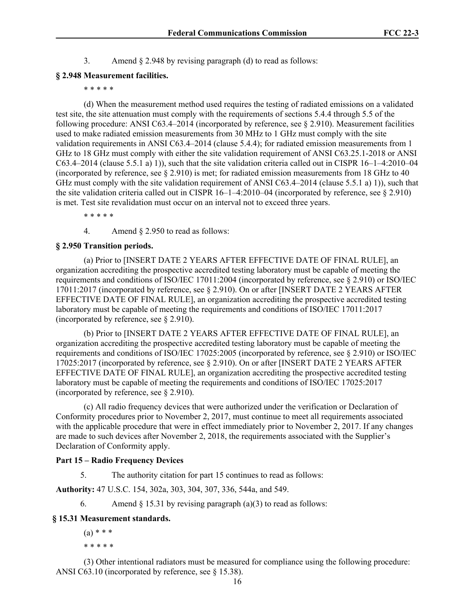3. Amend § 2.948 by revising paragraph (d) to read as follows:

### **§ 2.948 Measurement facilities.**

\* \* \* \* \*

(d) When the measurement method used requires the testing of radiated emissions on a validated test site, the site attenuation must comply with the requirements of sections 5.4.4 through 5.5 of the following procedure: ANSI C63.4–2014 (incorporated by reference, see § 2.910). Measurement facilities used to make radiated emission measurements from 30 MHz to 1 GHz must comply with the site validation requirements in ANSI C63.4–2014 (clause 5.4.4); for radiated emission measurements from 1 GHz to 18 GHz must comply with either the site validation requirement of ANSI C63.25.1-2018 or ANSI C63.4–2014 (clause 5.5.1 a) 1)), such that the site validation criteria called out in CISPR 16–1–4:2010–04 (incorporated by reference, see § 2.910) is met; for radiated emission measurements from 18 GHz to 40 GHz must comply with the site validation requirement of ANSI C63.4–2014 (clause 5.5.1 a) 1)), such that the site validation criteria called out in CISPR  $16-1-4:2010-04$  (incorporated by reference, see § 2.910) is met. Test site revalidation must occur on an interval not to exceed three years.

\* \* \* \* \*

4. Amend § 2.950 to read as follows:

#### **§ 2.950 Transition periods.**

(a) Prior to [INSERT DATE 2 YEARS AFTER EFFECTIVE DATE OF FINAL RULE], an organization accrediting the prospective accredited testing laboratory must be capable of meeting the requirements and conditions of ISO/IEC 17011:2004 (incorporated by reference, see [§ 2.910\)](http://www.westlaw.com/Link/Document/FullText?findType=L&pubNum=1000547&cite=47CFRS2.910&originatingDoc=N974C1681BFC811E7A33FF70D9438A2E3&refType=VP&originationContext=document&vr=3.0&rs=cblt1.0&transitionType=DocumentItem&contextData=(sc.Search)) or ISO/IEC 17011:2017 (incorporated by reference, see [§ 2.910](http://www.westlaw.com/Link/Document/FullText?findType=L&pubNum=1000547&cite=47CFRS2.910&originatingDoc=N974C1681BFC811E7A33FF70D9438A2E3&refType=VP&originationContext=document&vr=3.0&rs=cblt1.0&transitionType=DocumentItem&contextData=(sc.Search))). On or after [INSERT DATE 2 YEARS AFTER EFFECTIVE DATE OF FINAL RULE], an organization accrediting the prospective accredited testing laboratory must be capable of meeting the requirements and conditions of ISO/IEC 17011:2017 (incorporated by reference, see [§ 2.910\)](http://www.westlaw.com/Link/Document/FullText?findType=L&pubNum=1000547&cite=47CFRS2.910&originatingDoc=N974C1681BFC811E7A33FF70D9438A2E3&refType=VP&originationContext=document&vr=3.0&rs=cblt1.0&transitionType=DocumentItem&contextData=(sc.Search)).

(b) Prior to [INSERT DATE 2 YEARS AFTER EFFECTIVE DATE OF FINAL RULE], an organization accrediting the prospective accredited testing laboratory must be capable of meeting the requirements and conditions of ISO/IEC 17025:2005 (incorporated by reference, see [§ 2.910\)](http://www.westlaw.com/Link/Document/FullText?findType=L&pubNum=1000547&cite=47CFRS2.910&originatingDoc=N974C1681BFC811E7A33FF70D9438A2E3&refType=VP&originationContext=document&vr=3.0&rs=cblt1.0&transitionType=DocumentItem&contextData=(sc.Search)) or ISO/IEC 17025:2017 (incorporated by reference, see [§ 2.910](http://www.westlaw.com/Link/Document/FullText?findType=L&pubNum=1000547&cite=47CFRS2.910&originatingDoc=N974C1681BFC811E7A33FF70D9438A2E3&refType=VP&originationContext=document&vr=3.0&rs=cblt1.0&transitionType=DocumentItem&contextData=(sc.Search))). On or after [INSERT DATE 2 YEARS AFTER EFFECTIVE DATE OF FINAL RULE], an organization accrediting the prospective accredited testing laboratory must be capable of meeting the requirements and conditions of ISO/IEC 17025:2017 (incorporated by reference, see [§ 2.910\)](http://www.westlaw.com/Link/Document/FullText?findType=L&pubNum=1000547&cite=47CFRS2.910&originatingDoc=N974C1681BFC811E7A33FF70D9438A2E3&refType=VP&originationContext=document&vr=3.0&rs=cblt1.0&transitionType=DocumentItem&contextData=(sc.Search)).

(c) All radio frequency devices that were authorized under the verification or Declaration of Conformity procedures prior to November 2, 2017, must continue to meet all requirements associated with the applicable procedure that were in effect immediately prior to November 2, 2017. If any changes are made to such devices after November 2, 2018, the requirements associated with the Supplier's Declaration of Conformity apply.

## **Part 15 – Radio Frequency Devices**

5. The authority citation for part 15 continues to read as follows:

**Authority:** 47 U.S.C. 154, 302a, 303, 304, 307, 336, 544a, and 549.

6. Amend  $\S$  15.31 by revising paragraph (a)(3) to read as follows:

## **§ 15.31 Measurement standards.**

 $(a) * * *$ \* \* \* \* \*

(3) Other intentional radiators must be measured for compliance using the following procedure: ANSI C63.10 (incorporated by reference, see [§ 15.38](http://www.westlaw.com/Link/Document/FullText?findType=L&pubNum=1000547&cite=47CFRS15.38&originatingDoc=N66256E31BFBE11E7A542884314C00669&refType=VP&originationContext=document&vr=3.0&rs=cblt1.0&transitionType=DocumentItem&contextData=(sc.Search))).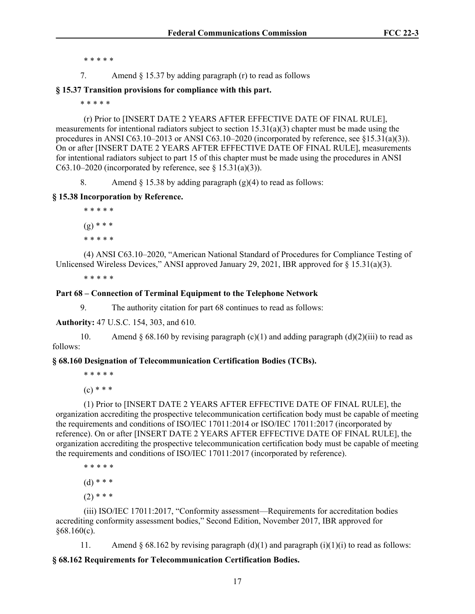\* \* \* \* \*

7. Amend § 15.37 by adding paragraph (r) to read as follows

**§ 15.37 Transition provisions for compliance with this part.** 

\* \* \* \* \*

(r) Prior to [INSERT DATE 2 YEARS AFTER EFFECTIVE DATE OF FINAL RULE], measurements for intentional radiators subject to section  $15.31(a)(3)$  chapter must be made using the procedures in ANSI C63.10–2013 or ANSI C63.10–2020 (incorporated by reference, see  $\S15.31(a)(3)$ ). On or after [INSERT DATE 2 YEARS AFTER EFFECTIVE DATE OF FINAL RULE], measurements for intentional radiators subject to part 15 of this chapter must be made using the procedures in ANSI C63.10–2020 (incorporated by reference, see  $\S$  15.31(a)(3)).

8. Amend  $\S 15.38$  by adding paragraph (g)(4) to read as follows:

# **§ 15.38 Incorporation by Reference.**

\* \* \* \* \*  $(g)$  \* \* \* \* \* \* \* \*

(4) ANSI C63.10–2020, "American National Standard of Procedures for Compliance Testing of Unlicensed Wireless Devices," ANSI approved January 29, 2021, IBR approved for [§ 15.31\(a\)\(3\).](http://www.westlaw.com/Link/Document/FullText?findType=L&pubNum=1000547&cite=47CFRS15.31&originatingDoc=N6C26A9B00D5011EBAB9CF7B76A3EEBC7&refType=VB&originationContext=document&vr=3.0&rs=cblt1.0&transitionType=DocumentItem&contextData=(sc.Search)#co_pp_28cc0000ccca6)

\* \* \* \* \*

# **Part 68 – Connection of Terminal Equipment to the Telephone Network**

9. The authority citation for part 68 continues to read as follows:

**Authority:** 47 U.S.C. 154, 303, and 610.

10. Amend § 68.160 by revising paragraph  $(c)(1)$  and adding paragraph  $(d)(2)(iii)$  to read as follows:

## **§ 68.160 Designation of Telecommunication Certification Bodies (TCBs).**

\* \* \* \* \*

 $(c)$  \* \* \*

(1) Prior to [INSERT DATE 2 YEARS AFTER EFFECTIVE DATE OF FINAL RULE], the organization accrediting the prospective telecommunication certification body must be capable of meeting the requirements and conditions of ISO/IEC 17011:2014 or ISO/IEC 17011:2017 (incorporated by reference). On or after [INSERT DATE 2 YEARS AFTER EFFECTIVE DATE OF FINAL RULE], the organization accrediting the prospective telecommunication certification body must be capable of meeting the requirements and conditions of ISO/IEC 17011:2017 (incorporated by reference).

\* \* \* \* \*

 $(d)$  \* \* \*

 $(2)$  \* \* \*

(iii) ISO/IEC 17011:2017, "Conformity assessment—Requirements for accreditation bodies accrediting conformity assessment bodies," Second Edition, November 2017, IBR approved for  $§68.160(c)$  $§68.160(c)$ .

11. Amend § 68.162 by revising paragraph (d)(1) and paragraph (i)(1)(i) to read as follows:

# **§ 68.162 Requirements for Telecommunication Certification Bodies.**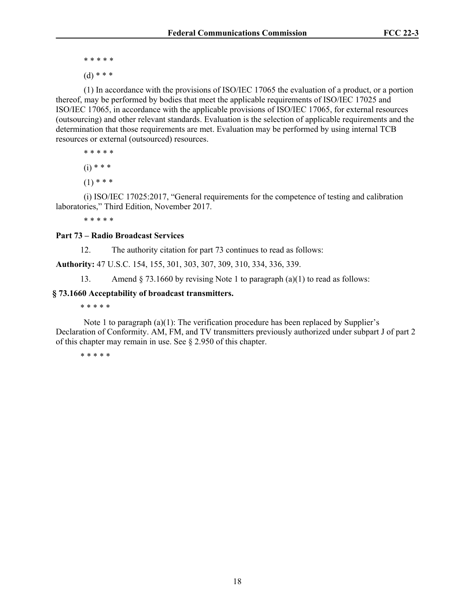- \* \* \* \* \*
- $(d)$  \* \* \*

(1) In accordance with the provisions of ISO/IEC 17065 the evaluation of a product, or a portion thereof, may be performed by bodies that meet the applicable requirements of ISO/IEC 17025 and ISO/IEC 17065, in accordance with the applicable provisions of ISO/IEC 17065, for external resources (outsourcing) and other relevant standards. Evaluation is the selection of applicable requirements and the determination that those requirements are met. Evaluation may be performed by using internal TCB resources or external (outsourced) resources.

\* \* \* \* \*

 $(i) * * *$ 

 $(1)$  \* \* \*

(i) ISO/IEC 17025:2017, "General requirements for the competence of testing and calibration laboratories," Third Edition, November 2017.

\* \* \* \* \*

#### **Part 73 – Radio Broadcast Services**

12. The authority citation for part 73 continues to read as follows:

**Authority:** 47 U.S.C. 154, 155, 301, 303, 307, 309, 310, 334, 336, 339.

13. Amend § 73.1660 by revising Note 1 to paragraph (a)(1) to read as follows:

#### **§ 73.1660 Acceptability of broadcast transmitters.**

\* \* \* \* \*

Note 1 to paragraph (a)(1): The verification procedure has been replaced by Supplier's Declaration of Conformity. AM, FM, and TV transmitters previously authorized under subpart J of part 2 of this chapter may remain in use. See § 2.950 of this chapter.

\* \* \* \* \*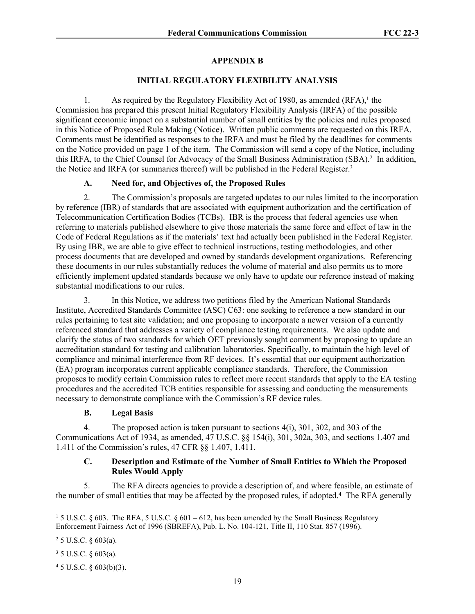# **APPENDIX B**

## **INITIAL REGULATORY FLEXIBILITY ANALYSIS**

1. As required by the Regulatory Flexibility Act of 1980, as amended  $(RFA)$ ,<sup>1</sup> the Commission has prepared this present Initial Regulatory Flexibility Analysis (IRFA) of the possible significant economic impact on a substantial number of small entities by the policies and rules proposed in this Notice of Proposed Rule Making (Notice). Written public comments are requested on this IRFA. Comments must be identified as responses to the IRFA and must be filed by the deadlines for comments on the Notice provided on page 1 of the item. The Commission will send a copy of the Notice, including this IRFA, to the Chief Counsel for Advocacy of the Small Business Administration (SBA).<sup>2</sup> In addition, the Notice and IRFA (or summaries thereof) will be published in the Federal Register.<sup>3</sup>

## **A. Need for, and Objectives of, the Proposed Rules**

2. The Commission's proposals are targeted updates to our rules limited to the incorporation by reference (IBR) of standards that are associated with equipment authorization and the certification of Telecommunication Certification Bodies (TCBs). IBR is the process that federal agencies use when referring to materials published elsewhere to give those materials the same force and effect of law in the Code of Federal Regulations as if the materials' text had actually been published in the Federal Register. By using IBR, we are able to give effect to technical instructions, testing methodologies, and other process documents that are developed and owned by standards development organizations. Referencing these documents in our rules substantially reduces the volume of material and also permits us to more efficiently implement updated standards because we only have to update our reference instead of making substantial modifications to our rules.

3. In this Notice, we address two petitions filed by the American National Standards Institute, Accredited Standards Committee (ASC) C63: one seeking to reference a new standard in our rules pertaining to test site validation; and one proposing to incorporate a newer version of a currently referenced standard that addresses a variety of compliance testing requirements. We also update and clarify the status of two standards for which OET previously sought comment by proposing to update an accreditation standard for testing and calibration laboratories. Specifically, to maintain the high level of compliance and minimal interference from RF devices. It's essential that our equipment authorization (EA) program incorporates current applicable compliance standards. Therefore, the Commission proposes to modify certain Commission rules to reflect more recent standards that apply to the EA testing procedures and the accredited TCB entities responsible for assessing and conducting the measurements necessary to demonstrate compliance with the Commission's RF device rules.

## **B. Legal Basis**

4. The proposed action is taken pursuant to sections 4(i), 301, 302, and 303 of the Communications Act of 1934, as amended, 47 U.S.C. §§ 154(i), 301, 302a, 303, and sections 1.407 and 1.411 of the Commission's rules, 47 CFR §§ 1.407, 1.411.

## **C. Description and Estimate of the Number of Small Entities to Which the Proposed Rules Would Apply**

5. The RFA directs agencies to provide a description of, and where feasible, an estimate of the number of small entities that may be affected by the proposed rules, if adopted.<sup>4</sup> The RFA generally

 $25$  U.S.C.  $\S$  603(a).

 $35$  U.S.C.  $\S$  603(a).

 $45$  U.S.C. § 603(b)(3).

<sup>1</sup> 5 U.S.C. § 603. The RFA, 5 U.S.C. § 601 – 612, has been amended by the Small Business Regulatory Enforcement Fairness Act of 1996 (SBREFA), Pub. L. No. 104-121, Title II, 110 Stat. 857 (1996).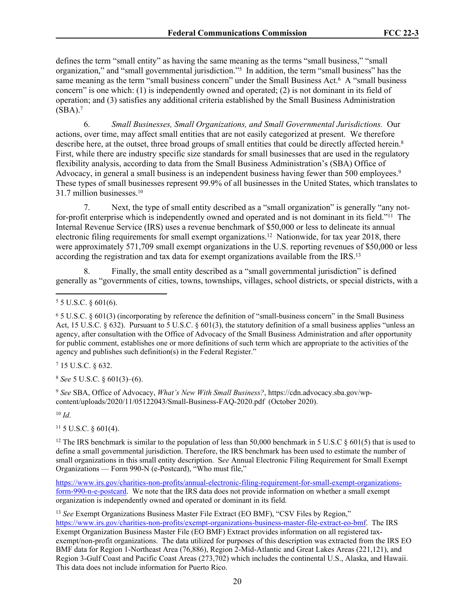defines the term "small entity" as having the same meaning as the terms "small business," "small organization," and "small governmental jurisdiction."<sup>5</sup> In addition, the term "small business" has the same meaning as the term "small business concern" under the Small Business Act.<sup>6</sup> A "small business concern" is one which: (1) is independently owned and operated; (2) is not dominant in its field of operation; and (3) satisfies any additional criteria established by the Small Business Administration  $(SBA).<sup>7</sup>$ 

6. *Small Businesses, Small Organizations, and Small Governmental Jurisdictions.*Our actions, over time, may affect small entities that are not easily categorized at present. We therefore describe here, at the outset, three broad groups of small entities that could be directly affected herein.<sup>8</sup> First, while there are industry specific size standards for small businesses that are used in the regulatory flexibility analysis, according to data from the Small Business Administration's (SBA) Office of Advocacy, in general a small business is an independent business having fewer than 500 employees.<sup>9</sup> These types of small businesses represent 99.9% of all businesses in the United States, which translates to 31.7 million businesses.<sup>10</sup>

7. Next, the type of small entity described as a "small organization" is generally "any notfor-profit enterprise which is independently owned and operated and is not dominant in its field."<sup>11</sup> The Internal Revenue Service (IRS) uses a revenue benchmark of \$50,000 or less to delineate its annual electronic filing requirements for small exempt organizations.<sup>12</sup> Nationwide, for tax year 2018, there were approximately 571,709 small exempt organizations in the U.S. reporting revenues of \$50,000 or less according the registration and tax data for exempt organizations available from the IRS.<sup>13</sup>

8. Finally, the small entity described as a "small governmental jurisdiction" is defined generally as "governments of cities, towns, townships, villages, school districts, or special districts, with a

6 5 U.S.C. § 601(3) (incorporating by reference the definition of "small-business concern" in the Small Business Act, 15 U.S.C.  $\S 632$ ). Pursuant to 5 U.S.C.  $\S 601(3)$ , the statutory definition of a small business applies "unless an agency, after consultation with the Office of Advocacy of the Small Business Administration and after opportunity for public comment, establishes one or more definitions of such term which are appropriate to the activities of the agency and publishes such definition(s) in the Federal Register."

7 15 U.S.C. § 632.

<sup>8</sup> *See* 5 U.S.C. § 601(3)–(6).

<sup>9</sup> *See* SBA, Office of Advocacy, *What's New With Small Business?*, https://cdn.advocacy.sba.gov/wpcontent/uploads/2020/11/05122043/Small-Business-FAQ-2020.pdf (October 2020).

<sup>10</sup> *Id*.

 $11$  5 U.S.C. § 601(4).

<sup>12</sup> The IRS benchmark is similar to the population of less than 50,000 benchmark in 5 U.S.C  $\frac{8601(5)}{12}$  that is used to define a small governmental jurisdiction. Therefore, the IRS benchmark has been used to estimate the number of small organizations in this small entity description. S*ee* Annual Electronic Filing Requirement for Small Exempt Organizations — Form 990-N (e-Postcard), "Who must file,"

[https://www.irs.gov/charities-non-profits/annual-electronic-filing-requirement-for-small-exempt-organizations](https://www.irs.gov/charities-non-profits/annual-electronic-filing-requirement-for-small-exempt-organizations-form-990-n-e-postcard)[form-990-n-e-postcard](https://www.irs.gov/charities-non-profits/annual-electronic-filing-requirement-for-small-exempt-organizations-form-990-n-e-postcard). We note that the IRS data does not provide information on whether a small exempt organization is independently owned and operated or dominant in its field.

<sup>13</sup> *See* Exempt Organizations Business Master File Extract (EO BMF), "CSV Files by Region," [https://www.irs.gov/charities-non-profits/exempt-organizations-business-master-file-extract-eo-bmf.](https://www.irs.gov/charities-non-profits/exempt-organizations-business-master-file-extract-eo-bmf) The IRS Exempt Organization Business Master File (EO BMF) Extract provides information on all registered taxexempt/non-profit organizations. The data utilized for purposes of this description was extracted from the IRS EO BMF data for Region 1-Northeast Area (76,886), Region 2-Mid-Atlantic and Great Lakes Areas (221,121), and Region 3-Gulf Coast and Pacific Coast Areas (273,702) which includes the continental U.S., Alaska, and Hawaii. This data does not include information for Puerto Rico.

 $55$  U.S.C.  $\S$  601(6).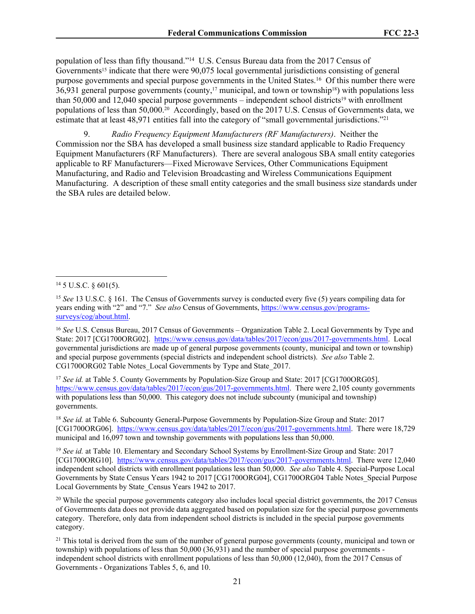population of less than fifty thousand."<sup>14</sup> U.S. Census Bureau data from the 2017 Census of Governments<sup>15</sup> indicate that there were 90,075 local governmental jurisdictions consisting of general purpose governments and special purpose governments in the United States.<sup>16</sup> Of this number there were  $36,931$  general purpose governments (county,<sup>17</sup> municipal, and town or township<sup>18</sup>) with populations less than 50,000 and 12,040 special purpose governments – independent school districts19 with enrollment populations of less than 50,000.20 Accordingly, based on the 2017 U.S. Census of Governments data, we estimate that at least 48,971 entities fall into the category of "small governmental jurisdictions."<sup>21</sup>

9. *Radio Frequency Equipment Manufacturers (RF Manufacturers)*. Neither the Commission nor the SBA has developed a small business size standard applicable to Radio Frequency Equipment Manufacturers (RF Manufacturers). There are several analogous SBA small entity categories applicable to RF Manufacturers—Fixed Microwave Services, Other Communications Equipment Manufacturing, and Radio and Television Broadcasting and Wireless Communications Equipment Manufacturing. A description of these small entity categories and the small business size standards under the SBA rules are detailed below.

<sup>17</sup> *See id.* at Table 5. County Governments by Population-Size Group and State: 2017 [CG1700ORG05]. <https://www.census.gov/data/tables/2017/econ/gus/2017-governments.html>. There were 2,105 county governments with populations less than 50,000. This category does not include subcounty (municipal and township) governments.

<sup>18</sup> *See id.* at Table 6. Subcounty General-Purpose Governments by Population-Size Group and State: 2017 [CG1700ORG06]. [https://www.census.gov/data/tables/2017/econ/gus/2017-governments.html.](https://www.census.gov/data/tables/2017/econ/gus/2017-governments.html) There were 18,729 municipal and 16,097 town and township governments with populations less than 50,000.

<sup>19</sup> *See id.* at Table 10. Elementary and Secondary School Systems by Enrollment-Size Group and State: 2017 [CG1700ORG10]. [https://www.census.gov/data/tables/2017/econ/gus/2017-governments.html.](https://www.census.gov/data/tables/2017/econ/gus/2017-governments.html) There were 12,040 independent school districts with enrollment populations less than 50,000. *See also* Table 4. Special-Purpose Local Governments by State Census Years 1942 to 2017 [CG1700ORG04], CG1700ORG04 Table Notes\_Special Purpose Local Governments by State\_Census Years 1942 to 2017.

<sup>20</sup> While the special purpose governments category also includes local special district governments, the 2017 Census of Governments data does not provide data aggregated based on population size for the special purpose governments category. Therefore, only data from independent school districts is included in the special purpose governments category.

 $2<sup>1</sup>$  This total is derived from the sum of the number of general purpose governments (county, municipal and town or township) with populations of less than 50,000 (36,931) and the number of special purpose governments independent school districts with enrollment populations of less than 50,000 (12,040), from the 2017 Census of Governments - Organizations Tables 5, 6, and 10.

 $14$  5 U.S.C. § 601(5).

<sup>&</sup>lt;sup>15</sup> *See* 13 U.S.C. § 161. The Census of Governments survey is conducted every five (5) years compiling data for years ending with "2" and "7." *See also* Census of Governments, [https://www.census.gov/programs](https://www.census.gov/programs-surveys/cog/about.html)[surveys/cog/about.html.](https://www.census.gov/programs-surveys/cog/about.html)

<sup>16</sup> *See* U.S. Census Bureau, 2017 Census of Governments – Organization Table 2. Local Governments by Type and State: 2017 [CG1700ORG02]. <https://www.census.gov/data/tables/2017/econ/gus/2017-governments.html>. Local governmental jurisdictions are made up of general purpose governments (county, municipal and town or township) and special purpose governments (special districts and independent school districts). *See also* Table 2. CG1700ORG02 Table Notes\_Local Governments by Type and State\_2017.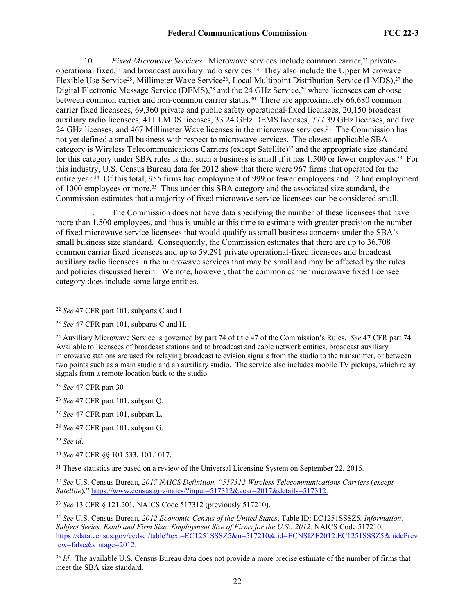10. *Fixed Microwave Services.* Microwave services include common carrier,22 privateoperational fixed,23 and broadcast auxiliary radio services.24 They also include the Upper Microwave Flexible Use Service<sup>25</sup>, Millimeter Wave Service<sup>26</sup>, Local Multipoint Distribution Service (LMDS),<sup>27</sup> the Digital Electronic Message Service (DEMS),<sup>28</sup> and the 24 GHz Service,<sup>29</sup> where licensees can choose between common carrier and non-common carrier status.30 There are approximately 66,680 common carrier fixed licensees, 69,360 private and public safety operational-fixed licensees, 20,150 broadcast auxiliary radio licensees, 411 LMDS licenses, 33 24 GHz DEMS licenses, 777 39 GHz licenses, and five 24 GHz licenses, and 467 Millimeter Wave licenses in the microwave services.<sup>31</sup> The Commission has not yet defined a small business with respect to microwave services. The closest applicable SBA category is Wireless Telecommunications Carriers (except Satellite)32 and the appropriate size standard for this category under SBA rules is that such a business is small if it has 1,500 or fewer employees.33 For this industry, U.S. Census Bureau data for 2012 show that there were 967 firms that operated for the entire year.34 Of this total, 955 firms had employment of 999 or fewer employees and 12 had employment of 1000 employees or more.35 Thus under this SBA category and the associated size standard, the Commission estimates that a majority of fixed microwave service licensees can be considered small.

11. The Commission does not have data specifying the number of these licensees that have more than 1,500 employees, and thus is unable at this time to estimate with greater precision the number of fixed microwave service licensees that would qualify as small business concerns under the SBA's small business size standard. Consequently, the Commission estimates that there are up to 36,708 common carrier fixed licensees and up to 59,291 private operational-fixed licensees and broadcast auxiliary radio licensees in the microwave services that may be small and may be affected by the rules and policies discussed herein. We note, however, that the common carrier microwave fixed licensee category does include some large entities.

<sup>25</sup> *See* 47 CFR part 30*.*

<sup>31</sup> These statistics are based on a review of the Universal Licensing System on September 22, 2015.

<sup>32</sup> *See* U.S. Census Bureau, *2017 NAICS Definition, "517312 Wireless Telecommunications Carriers* (*except Satellite*)," [https://www.census.gov/naics/?input=517312&year=2017&details=517312.](https://www.census.gov/naics/?input=517312&year=2017&details=517312)

<sup>33</sup> *See* 13 CFR § 121.201, NAICS Code 517312 (previously 517210).

<sup>34</sup> *See* U.S. Census Bureau, *2012 Economic Census of the United States*, Table ID: EC1251SSSZ5*, Information: Subject Series, Estab and Firm Size: Employment Size of Firms for the U.S.: 2012,* NAICS Code 517210, [https://data.census.gov/cedsci/table?text=EC1251SSSZ5&n=517210&tid=ECNSIZE2012.EC1251SSSZ5&hidePrev](https://data.census.gov/cedsci/table?text=EC1251SSSZ5&n=517210&tid=ECNSIZE2012.EC1251SSSZ5&hidePreview=false&vintage=2012) [iew=false&vintage=2012.](https://data.census.gov/cedsci/table?text=EC1251SSSZ5&n=517210&tid=ECNSIZE2012.EC1251SSSZ5&hidePreview=false&vintage=2012)

<sup>35</sup> *Id*. The available U.S. Census Bureau data does not provide a more precise estimate of the number of firms that meet the SBA size standard.

<sup>22</sup> *See* 47 CFR part 101, subparts C and I.

<sup>23</sup> *See* 47 CFR part 101, subparts C and H.

<sup>24</sup> Auxiliary Microwave Service is governed by part 74 of title 47 of the Commission's Rules. *See* 47 CFR part 74. Available to licensees of broadcast stations and to broadcast and cable network entities, broadcast auxiliary microwave stations are used for relaying broadcast television signals from the studio to the transmitter, or between two points such as a main studio and an auxiliary studio. The service also includes mobile TV pickups, which relay signals from a remote location back to the studio.

<sup>26</sup> *See* 47 CFR part 101, subpart Q.

<sup>27</sup> *See* 47 CFR part 101, subpart L.

<sup>28</sup> *See* 47 CFR part 101, subpart G.

<sup>29</sup> *See id*.

<sup>30</sup> *See* 47 CFR §§ 101.533, 101.1017.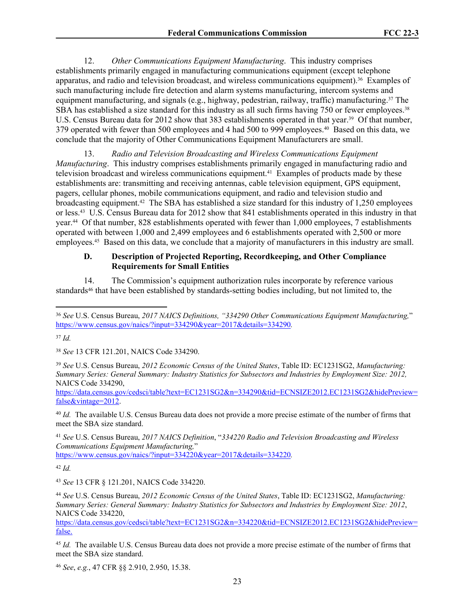12. *Other Communications Equipment Manufacturing*. This industry comprises establishments primarily engaged in manufacturing communications equipment (except telephone apparatus, and radio and television broadcast, and wireless communications equipment).36 Examples of such manufacturing include fire detection and alarm systems manufacturing, intercom systems and equipment manufacturing, and signals (e.g., highway, pedestrian, railway, traffic) manufacturing.<sup>37</sup> The SBA has established a size standard for this industry as all such firms having 750 or fewer employees.<sup>38</sup> U.S. Census Bureau data for 2012 show that 383 establishments operated in that year.<sup>39</sup> Of that number, 379 operated with fewer than 500 employees and 4 had 500 to 999 employees.40 Based on this data, we conclude that the majority of Other Communications Equipment Manufacturers are small.

13. *Radio and Television Broadcasting and Wireless Communications Equipment Manufacturing*. This industry comprises establishments primarily engaged in manufacturing radio and television broadcast and wireless communications equipment.41 Examples of products made by these establishments are: transmitting and receiving antennas, cable television equipment, GPS equipment, pagers, cellular phones, mobile communications equipment, and radio and television studio and broadcasting equipment.42 The SBA has established a size standard for this industry of 1,250 employees or less.43 U.S. Census Bureau data for 2012 show that 841 establishments operated in this industry in that year.44 Of that number, 828 establishments operated with fewer than 1,000 employees, 7 establishments operated with between 1,000 and 2,499 employees and 6 establishments operated with 2,500 or more employees.45 Based on this data, we conclude that a majority of manufacturers in this industry are small.

## **D. Description of Projected Reporting, Recordkeeping, and Other Compliance Requirements for Small Entities**

14. The Commission's equipment authorization rules incorporate by reference various standards<sup>46</sup> that have been established by standards-setting bodies including, but not limited to, the

<sup>37</sup> *Id.*

<sup>38</sup> *See* 13 CFR 121.201, NAICS Code 334290.

<sup>39</sup> *See* U.S. Census Bureau, *2012 Economic Census of the United States*, Table ID: EC1231SG2, *Manufacturing: Summary Series: General Summary: Industry Statistics for Subsectors and Industries by Employment Size: 2012,* NAICS Code 334290,

[https://data.census.gov/cedsci/table?text=EC1231SG2&n=334290&tid=ECNSIZE2012.EC1231SG2&hidePreview=](https://data.census.gov/cedsci/table?text=EC1231SG2&n=334290&tid=ECNSIZE2012.EC1231SG2&hidePreview=false&vintage=2012) [false&vintage=2012.](https://data.census.gov/cedsci/table?text=EC1231SG2&n=334290&tid=ECNSIZE2012.EC1231SG2&hidePreview=false&vintage=2012)

<sup>40</sup> *Id.* The available U.S. Census Bureau data does not provide a more precise estimate of the number of firms that meet the SBA size standard.

<sup>41</sup> *See* U.S. Census Bureau, *2017 NAICS Definition*, "*334220 Radio and Television Broadcasting and Wireless Communications Equipment Manufacturing,*"

<https://www.census.gov/naics/?input=334220&year=2017&details=334220>*.*

<sup>42</sup> *Id.*

<sup>43</sup> *See* 13 CFR § 121.201, NAICS Code 334220.

<sup>44</sup> *See* U.S. Census Bureau, *2012 Economic Census of the United States*, Table ID: EC1231SG2, *Manufacturing: Summary Series: General Summary: Industry Statistics for Subsectors and Industries by Employment Size: 2012*, NAICS Code 334220,

[https://data.census.gov/cedsci/table?text=EC1231SG2&n=334220&tid=ECNSIZE2012.EC1231SG2&hidePreview=](https://data.census.gov/cedsci/table?text=EC1231SG2&n=334220&tid=ECNSIZE2012.EC1231SG2&hidePreview=false) [false.](https://data.census.gov/cedsci/table?text=EC1231SG2&n=334220&tid=ECNSIZE2012.EC1231SG2&hidePreview=false)

<sup>45</sup> *Id.* The available U.S. Census Bureau data does not provide a more precise estimate of the number of firms that meet the SBA size standard.

<sup>46</sup> *See*, *e.g.*, 47 CFR §§ 2.910, 2.950, 15.38.

<sup>36</sup> *See* U.S. Census Bureau, *2017 NAICS Definitions, "334290 Other Communications Equipment Manufacturing,*" <https://www.census.gov/naics/?input=334290&year=2017&details=334290>*.*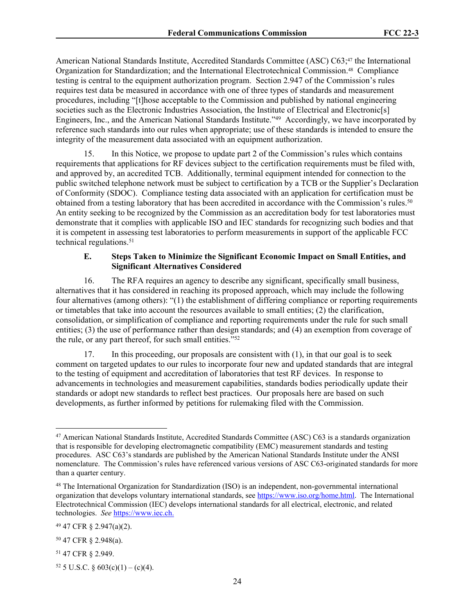American National Standards Institute, Accredited Standards Committee (ASC) C63;<sup>47</sup> the International Organization for Standardization; and the International Electrotechnical Commission.48 Compliance testing is central to the equipment authorization program. Section 2.947 of the Commission's rules requires test data be measured in accordance with one of three types of standards and measurement procedures, including "[t]hose acceptable to the Commission and published by national engineering societies such as the Electronic Industries Association, the Institute of Electrical and Electronic[s] Engineers, Inc., and the American National Standards Institute."<sup>49</sup> Accordingly, we have incorporated by reference such standards into our rules when appropriate; use of these standards is intended to ensure the integrity of the measurement data associated with an equipment authorization.

15. In this Notice, we propose to update part 2 of the Commission's rules which contains requirements that applications for RF devices subject to the certification requirements must be filed with, and approved by, an accredited TCB. Additionally, terminal equipment intended for connection to the public switched telephone network must be subject to certification by a TCB or the Supplier's Declaration of Conformity (SDOC). Compliance testing data associated with an application for certification must be obtained from a testing laboratory that has been accredited in accordance with the Commission's rules.<sup>50</sup> An entity seeking to be recognized by the Commission as an accreditation body for test laboratories must demonstrate that it complies with applicable ISO and IEC standards for recognizing such bodies and that it is competent in assessing test laboratories to perform measurements in support of the applicable FCC technical regulations.<sup>51</sup>

## **E. Steps Taken to Minimize the Significant Economic Impact on Small Entities, and Significant Alternatives Considered**

16. The RFA requires an agency to describe any significant, specifically small business, alternatives that it has considered in reaching its proposed approach, which may include the following four alternatives (among others): "(1) the establishment of differing compliance or reporting requirements or timetables that take into account the resources available to small entities; (2) the clarification, consolidation, or simplification of compliance and reporting requirements under the rule for such small entities; (3) the use of performance rather than design standards; and (4) an exemption from coverage of the rule, or any part thereof, for such small entities."<sup>52</sup>

17. In this proceeding, our proposals are consistent with (1), in that our goal is to seek comment on targeted updates to our rules to incorporate four new and updated standards that are integral to the testing of equipment and accreditation of laboratories that test RF devices. In response to advancements in technologies and measurement capabilities, standards bodies periodically update their standards or adopt new standards to reflect best practices. Our proposals here are based on such developments, as further informed by petitions for rulemaking filed with the Commission.

<sup>47</sup> American National Standards Institute, Accredited Standards Committee (ASC) C63 is a standards organization that is responsible for developing electromagnetic compatibility (EMC) measurement standards and testing procedures. ASC C63's standards are published by the American National Standards Institute under the ANSI nomenclature. The Commission's rules have referenced various versions of ASC C63-originated standards for more than a quarter century.

<sup>48</sup> The International Organization for Standardization (ISO) is an independent, non-governmental international organization that develops voluntary international standards, see <https://www.iso.org/home.html>. The International Electrotechnical Commission (IEC) develops international standards for all electrical, electronic, and related technologies. *See* [https://www.iec.ch.](https://www.iec.ch)

<sup>49</sup> 47 CFR § 2.947(a)(2).

<sup>50</sup> 47 CFR § 2.948(a).

<sup>51</sup> 47 CFR § 2.949.

<sup>52 5</sup> U.S.C. § 603(c)(1) – (c)(4).